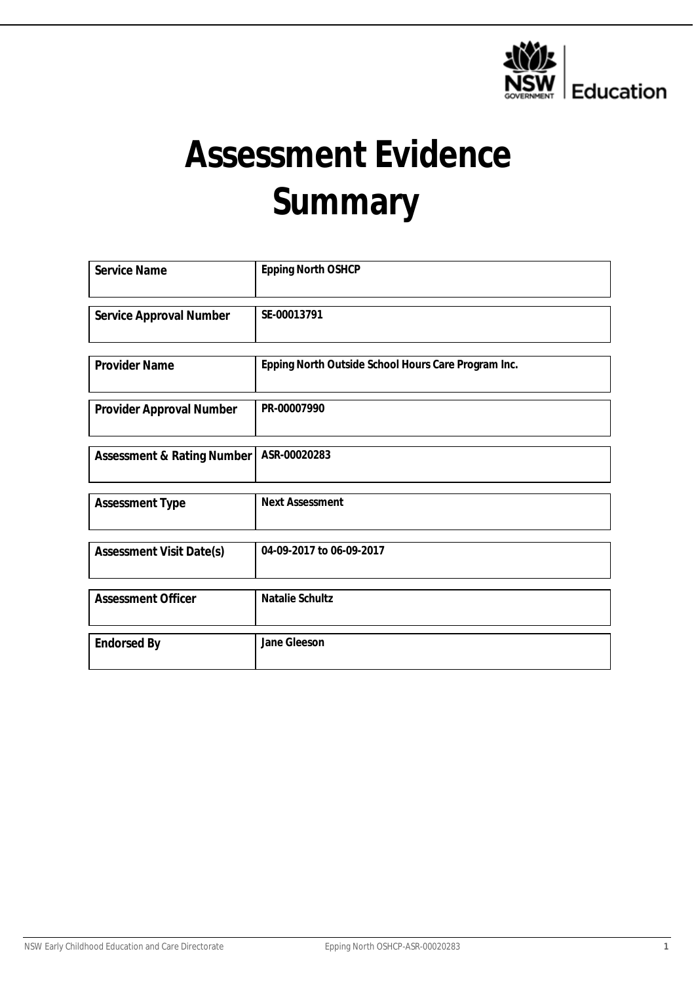

# **Assessment Evidence Summary**

| Service Name               | Epping North OSHCP                                  |
|----------------------------|-----------------------------------------------------|
| Service Approval Number    | SE-00013791                                         |
|                            |                                                     |
| Provider Name              | Epping North Outside School Hours Care Program Inc. |
| Provider Approval Number   | PR-00007990                                         |
|                            |                                                     |
| Assessment & Rating Number | ASR-00020283                                        |
|                            | <b>Next Assessment</b>                              |
| <b>Assessment Type</b>     |                                                     |
|                            |                                                     |
| Assessment Visit Date(s)   | 04-09-2017 to 06-09-2017                            |
|                            |                                                     |
| <b>Assessment Officer</b>  | Natalie Schultz                                     |
| <b>Endorsed By</b>         | Jane Gleeson                                        |
|                            |                                                     |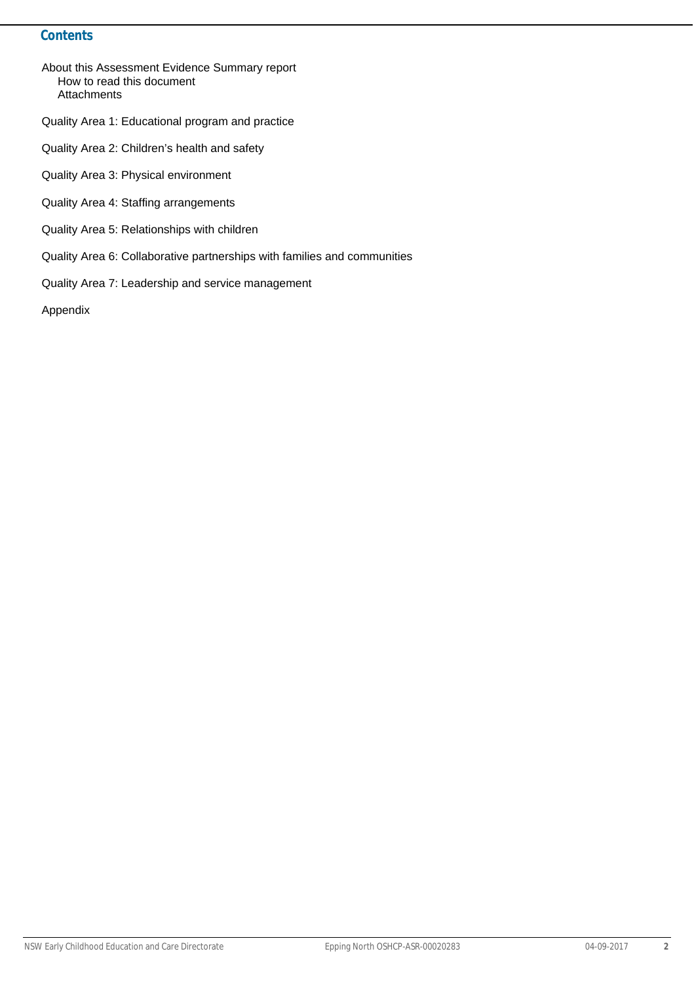#### **Contents**

- About this Assessment Evidence Summary report How to read this document **Attachments**
- Quality Area 1: Educational program and practice
- Quality Area 2: Children's health and safety
- Quality Area 3: Physical environment
- Quality Area 4: Staffing arrangements
- Quality Area 5: Relationships with children
- Quality Area 6: Collaborative partnerships with families and communities
- Quality Area 7: Leadership and service management

Appendix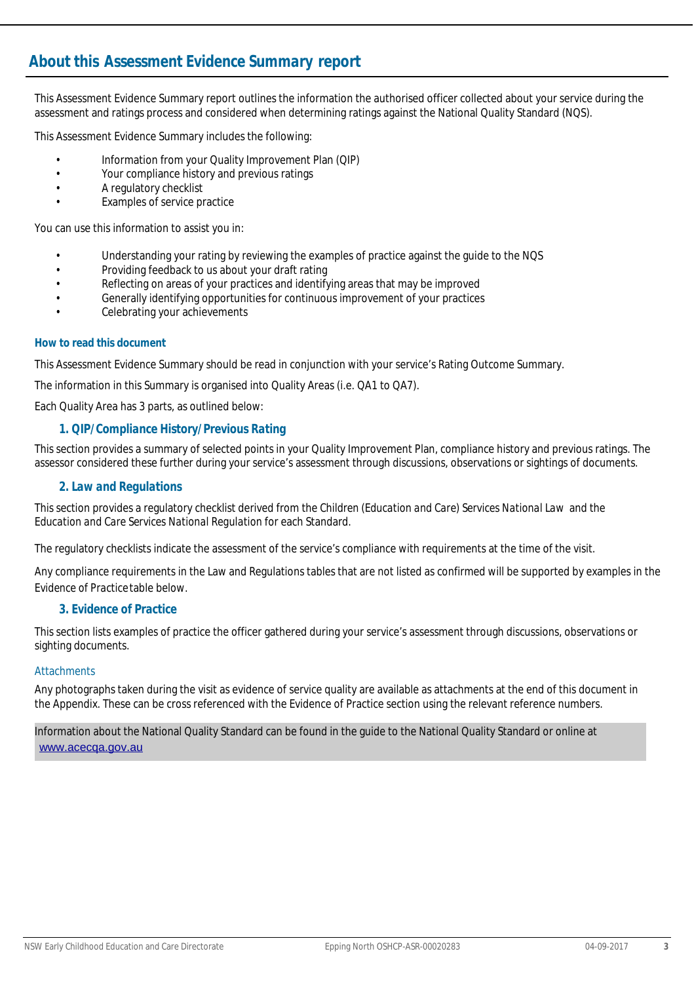## **About this** *Assessment Evidence Summary* **report**

This Assessment Evidence Summary report outlines the information the authorised officer collected about your service during the assessment and ratings process and considered when determining ratings against the National Quality Standard (NQS).

This Assessment Evidence Summary includes the following:

- Information from your Quality Improvement Plan (QIP)
- Your compliance history and previous ratings
- A regulatory checklist
- Examples of service practice

You can use this information to assist you in:

- Understanding your rating by reviewing the examples of practice against the guide to the NQS
- Providing feedback to us about your draft rating
- Reflecting on areas of your practices and identifying areas that may be improved
- Generally identifying opportunities for continuous improvement of your practices
- Celebrating your achievements

#### **How to read this document**

This Assessment Evidence Summary should be read in conjunction with your service's Rating Outcome Summary.

The information in this Summary is organised into Quality Areas (i.e. QA1 to QA7).

Each Quality Area has 3 parts, as outlined below:

#### *1. QIP/Compliance History/Previous Rating*

This section provides a summary of selected points in your Quality Improvement Plan, compliance history and previous ratings. The assessor considered these further during your service's assessment through discussions, observations or sightings of documents.

#### *2. Law and Regulations*

This section provides a regulatory checklist derived from the *Children (Education and Care) Services National Law* and the *Education and Care Services National Regulation* for each Standard.

The regulatory checklists indicate the assessment of the service's compliance with requirements at the time of the visit.

Any compliance requirements in the Law and Regulations tables that are not listed as confirmed will be supported by examples in the *Evidence of Practice* table below.

#### *3. Evidence of Practice*

This section lists examples of practice the officer gathered during your service's assessment through discussions, observations or sighting documents.

#### **Attachments**

Any photographs taken during the visit as evidence of service quality are available as attachments at the end of this document in the Appendix. These can be cross referenced with the Evidence of Practice section using the relevant reference numbers.

Information about the National Quality Standard can be found in the guide to the National Quality Standard or online at <www.acecqa.gov.au>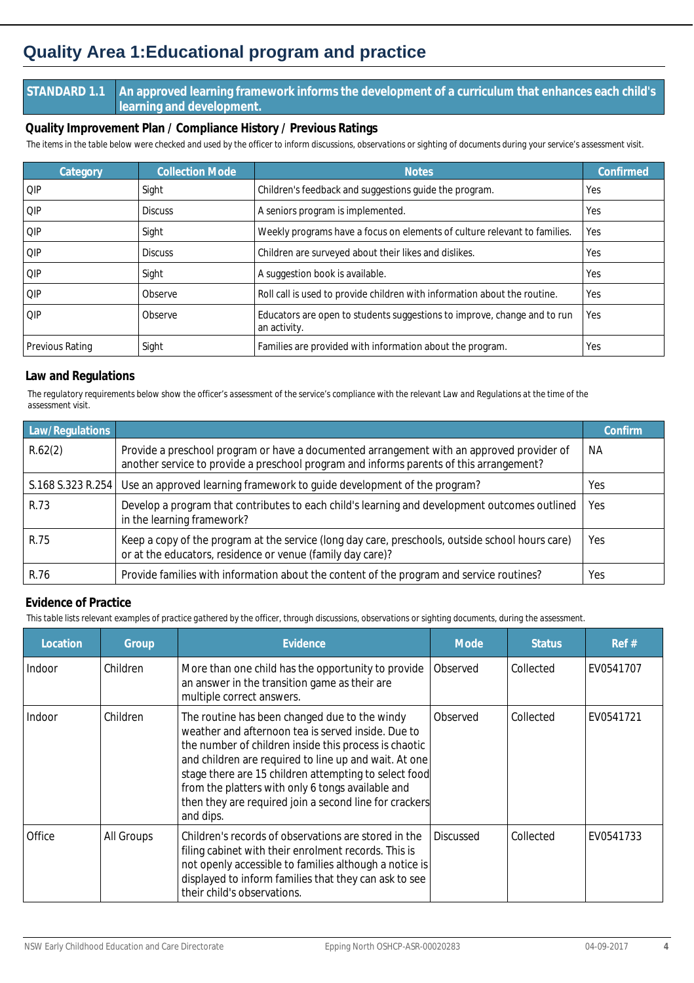## **Quality Area 1:Educational program and practice**

#### **STANDARD 1.1 An approved learning framework informs the development of a curriculum that enhances each child's learning and development.**

**Quality Improvement Plan / Compliance History / Previous Ratings**

*The items in the table below were checked and used by the officer to inform discussions, observations or sighting of documents during your service's assessment visit.*

| Category               | <b>Collection Mode</b> | <b>Notes</b>                                                                             | Confirmed |
|------------------------|------------------------|------------------------------------------------------------------------------------------|-----------|
| <b>QIP</b>             | Sight                  | Children's feedback and suggestions guide the program.                                   | Yes       |
| I QIP                  | <b>Discuss</b>         | A seniors program is implemented.                                                        | Yes       |
| l OIP                  | Sight                  | Weekly programs have a focus on elements of culture relevant to families.                | Yes       |
| l OIP                  | <b>Discuss</b>         | Children are surveyed about their likes and dislikes.                                    | Yes       |
| l OIP                  | Sight                  | A suggestion book is available.                                                          | Yes       |
| l QIP                  | Observe                | Roll call is used to provide children with information about the routine.                | Yes       |
| OIP                    | Observe                | Educators are open to students suggestions to improve, change and to run<br>an activity. | Yes       |
| <b>Previous Rating</b> | Sight                  | Families are provided with information about the program.                                | Yes       |

#### **Law and Regulations**

*The regulatory requirements below show the officer's assessment of the service's compliance with the relevant Law and Regulations at the time of the assessment visit.*

| Law/Regulations   |                                                                                                                                                                                      | Confirm   |
|-------------------|--------------------------------------------------------------------------------------------------------------------------------------------------------------------------------------|-----------|
| R.62(2)           | Provide a preschool program or have a documented arrangement with an approved provider of<br>another service to provide a preschool program and informs parents of this arrangement? | <b>NA</b> |
| S.168 S.323 R.254 | Use an approved learning framework to guide development of the program?                                                                                                              | Yes       |
| R.73              | Develop a program that contributes to each child's learning and development outcomes outlined<br>in the learning framework?                                                          | Yes       |
| R.75              | Keep a copy of the program at the service (long day care, preschools, outside school hours care)<br>or at the educators, residence or venue (family day care)?                       | Yes       |
| R.76              | Provide families with information about the content of the program and service routines?                                                                                             | Yes       |

#### **Evidence of Practice**

| Location | Group      | Evidence                                                                                                                                                                                                                                                                                                                                                                                                   | <b>Mode</b>      | <b>Status</b> | Ref#      |
|----------|------------|------------------------------------------------------------------------------------------------------------------------------------------------------------------------------------------------------------------------------------------------------------------------------------------------------------------------------------------------------------------------------------------------------------|------------------|---------------|-----------|
| Indoor   | Children   | More than one child has the opportunity to provide<br>an answer in the transition game as their are<br>multiple correct answers.                                                                                                                                                                                                                                                                           | Observed         | Collected     | EV0541707 |
| Indoor   | Children   | The routine has been changed due to the windy<br>weather and afternoon tea is served inside. Due to<br>the number of children inside this process is chaotic<br>and children are required to line up and wait. At one<br>stage there are 15 children attempting to select food<br>from the platters with only 6 tongs available and<br>then they are required join a second line for crackers<br>and dips. | Observed         | Collected     | EV0541721 |
| Office   | All Groups | Children's records of observations are stored in the<br>filing cabinet with their enrolment records. This is<br>not openly accessible to families although a notice is<br>displayed to inform families that they can ask to see<br>their child's observations.                                                                                                                                             | <b>Discussed</b> | Collected     | EV0541733 |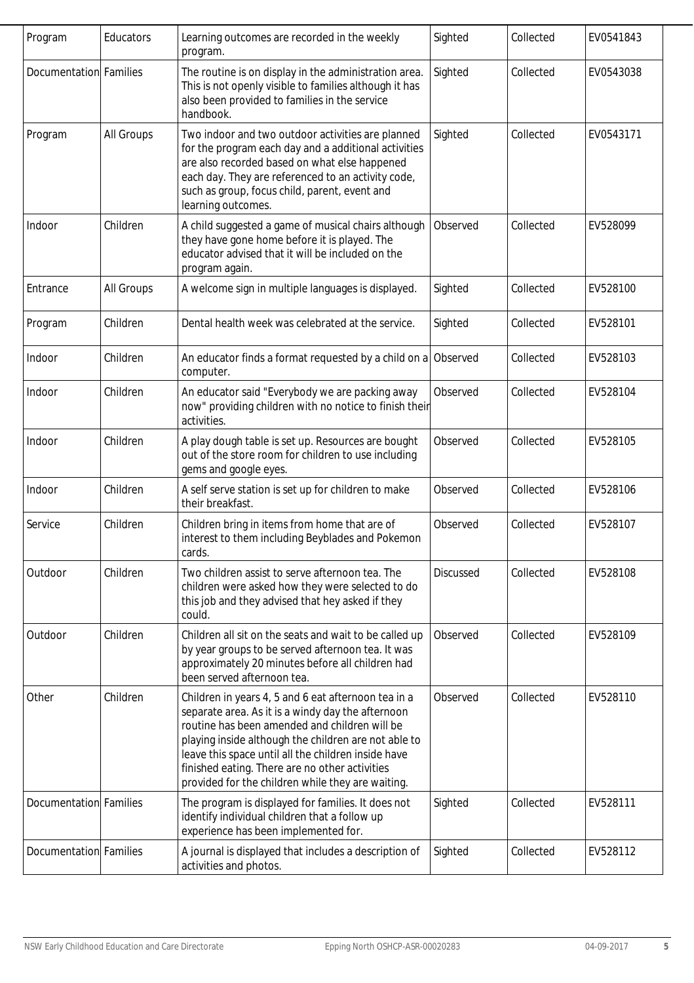| Program                | Educators  | Learning outcomes are recorded in the weekly<br>program.                                                                                                                                                                                                                                                                                                                        | Sighted          | Collected | EV0541843 |
|------------------------|------------|---------------------------------------------------------------------------------------------------------------------------------------------------------------------------------------------------------------------------------------------------------------------------------------------------------------------------------------------------------------------------------|------------------|-----------|-----------|
| Documentation Families |            | The routine is on display in the administration area.<br>This is not openly visible to families although it has<br>also been provided to families in the service<br>handbook.                                                                                                                                                                                                   | Sighted          | Collected | EV0543038 |
| Program                | All Groups | Two indoor and two outdoor activities are planned<br>for the program each day and a additional activities<br>are also recorded based on what else happened<br>each day. They are referenced to an activity code,<br>such as group, focus child, parent, event and<br>learning outcomes.                                                                                         | Sighted          | Collected | EV0543171 |
| Indoor                 | Children   | A child suggested a game of musical chairs although<br>they have gone home before it is played. The<br>educator advised that it will be included on the<br>program again.                                                                                                                                                                                                       | Observed         | Collected | EV528099  |
| Entrance               | All Groups | A welcome sign in multiple languages is displayed.                                                                                                                                                                                                                                                                                                                              | Sighted          | Collected | EV528100  |
| Program                | Children   | Dental health week was celebrated at the service.                                                                                                                                                                                                                                                                                                                               | Sighted          | Collected | EV528101  |
| Indoor                 | Children   | An educator finds a format requested by a child on a Observed<br>computer.                                                                                                                                                                                                                                                                                                      |                  | Collected | EV528103  |
| Indoor                 | Children   | An educator said "Everybody we are packing away<br>now" providing children with no notice to finish their<br>activities.                                                                                                                                                                                                                                                        | Observed         | Collected | EV528104  |
| Indoor                 | Children   | A play dough table is set up. Resources are bought<br>out of the store room for children to use including<br>gems and google eyes.                                                                                                                                                                                                                                              | Observed         | Collected | EV528105  |
| Indoor                 | Children   | A self serve station is set up for children to make<br>their breakfast.                                                                                                                                                                                                                                                                                                         | Observed         | Collected | EV528106  |
| Service                | Children   | Children bring in items from home that are of<br>interest to them including Beyblades and Pokemon<br>cards.                                                                                                                                                                                                                                                                     | Observed         | Collected | EV528107  |
| Outdoor                | Children   | Two children assist to serve afternoon tea. The<br>children were asked how they were selected to do<br>this job and they advised that hey asked if they<br>could.                                                                                                                                                                                                               | <b>Discussed</b> | Collected | EV528108  |
| Outdoor                | Children   | Children all sit on the seats and wait to be called up<br>by year groups to be served afternoon tea. It was<br>approximately 20 minutes before all children had<br>been served afternoon tea.                                                                                                                                                                                   | Observed         | Collected | EV528109  |
| Other                  | Children   | Children in years 4, 5 and 6 eat afternoon tea in a<br>separate area. As it is a windy day the afternoon<br>routine has been amended and children will be<br>playing inside although the children are not able to<br>leave this space until all the children inside have<br>finished eating. There are no other activities<br>provided for the children while they are waiting. | Observed         | Collected | EV528110  |
| Documentation Families |            | The program is displayed for families. It does not<br>identify individual children that a follow up<br>experience has been implemented for.                                                                                                                                                                                                                                     | Sighted          | Collected | EV528111  |
| Documentation Families |            | A journal is displayed that includes a description of<br>activities and photos.                                                                                                                                                                                                                                                                                                 | Sighted          | Collected | EV528112  |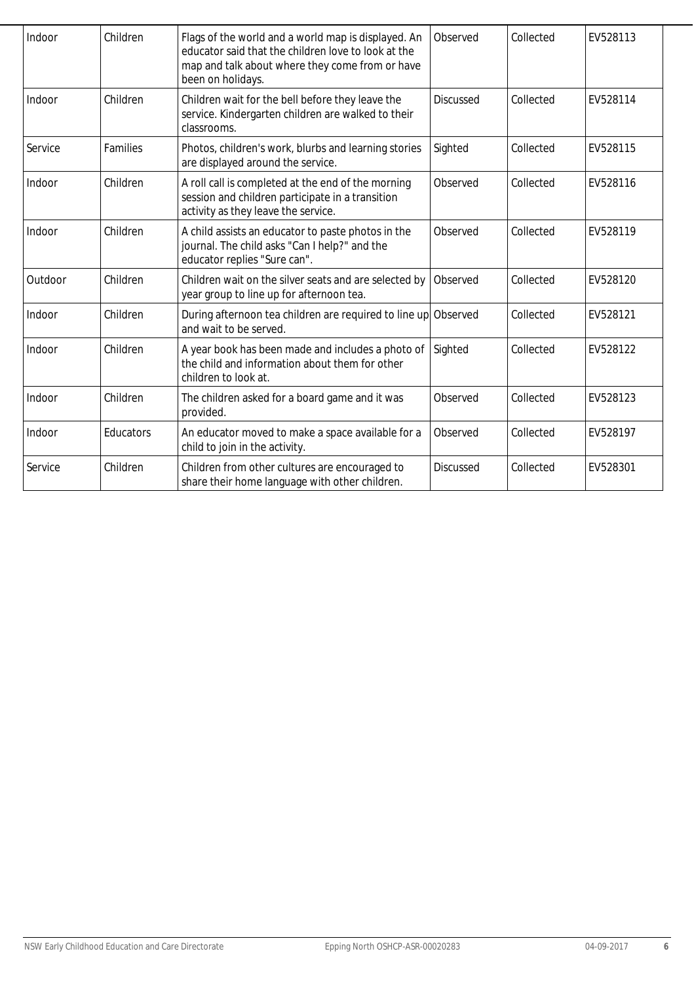| Indoor  | Children  | Flags of the world and a world map is displayed. An<br>educator said that the children love to look at the<br>map and talk about where they come from or have<br>been on holidays. | Observed         | Collected | EV528113 |
|---------|-----------|------------------------------------------------------------------------------------------------------------------------------------------------------------------------------------|------------------|-----------|----------|
| Indoor  | Children  | Children wait for the bell before they leave the<br>service. Kindergarten children are walked to their<br>classrooms.                                                              | <b>Discussed</b> | Collected | EV528114 |
| Service | Families  | Photos, children's work, blurbs and learning stories<br>are displayed around the service.                                                                                          | Sighted          | Collected | EV528115 |
| Indoor  | Children  | A roll call is completed at the end of the morning<br>session and children participate in a transition<br>activity as they leave the service.                                      | Observed         | Collected | EV528116 |
| Indoor  | Children  | A child assists an educator to paste photos in the<br>journal. The child asks "Can I help?" and the<br>educator replies "Sure can".                                                | Observed         | Collected | EV528119 |
| Outdoor | Children  | Children wait on the silver seats and are selected by<br>year group to line up for afternoon tea.                                                                                  | Observed         | Collected | EV528120 |
| Indoor  | Children  | During afternoon tea children are required to line up Observed<br>and wait to be served.                                                                                           |                  | Collected | EV528121 |
| Indoor  | Children  | A year book has been made and includes a photo of<br>the child and information about them for other<br>children to look at.                                                        | Sighted          | Collected | EV528122 |
| Indoor  | Children  | The children asked for a board game and it was<br>provided.                                                                                                                        | Observed         | Collected | EV528123 |
| Indoor  | Educators | An educator moved to make a space available for a<br>child to join in the activity.                                                                                                | Observed         | Collected | EV528197 |
| Service | Children  | Children from other cultures are encouraged to<br>share their home language with other children.                                                                                   | Discussed        | Collected | EV528301 |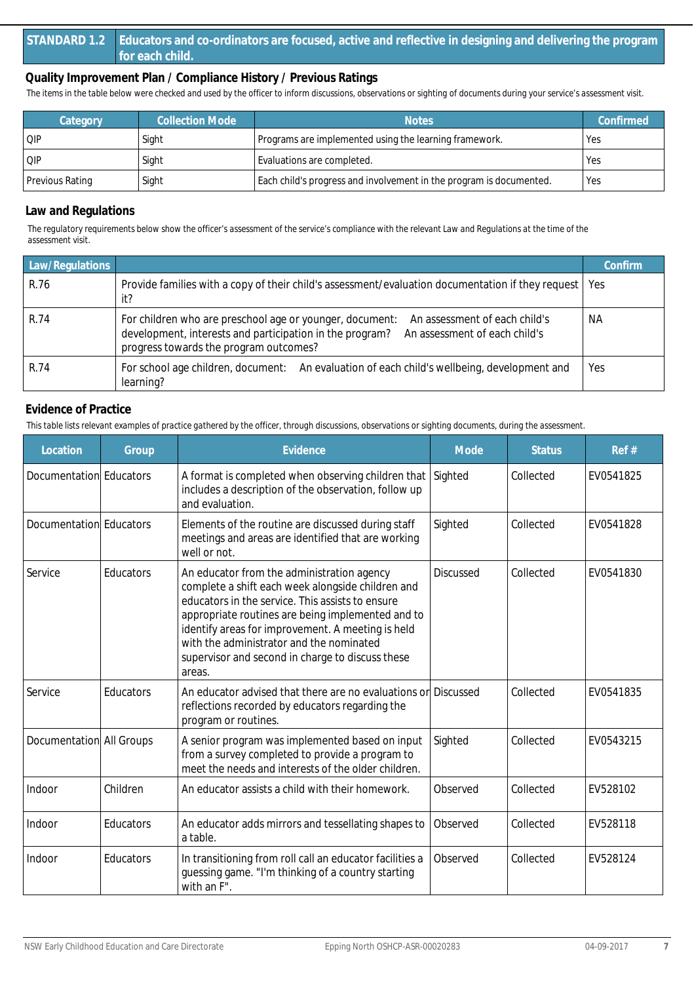#### **STANDARD 1.2 Educators and co-ordinators are focused, active and reflective in designing and delivering the program for each child.**

#### **Quality Improvement Plan / Compliance History / Previous Ratings**

*The items in the table below were checked and used by the officer to inform discussions, observations or sighting of documents during your service's assessment visit.*

| Category               | <b>Collection Mode</b> | <b>Notes</b>                                                        | Confirmed |
|------------------------|------------------------|---------------------------------------------------------------------|-----------|
| QIP                    | Sight                  | Programs are implemented using the learning framework.              | Yes       |
| QIP                    | Sight                  | Evaluations are completed.                                          | Yes       |
| <b>Previous Rating</b> | Sight                  | Each child's progress and involvement in the program is documented. | Yes       |

#### **Law and Regulations**

*The regulatory requirements below show the officer's assessment of the service's compliance with the relevant Law and Regulations at the time of the assessment visit.*

| Law/Regulations |                                                                                                                                                                                                                                  | Confirm   |
|-----------------|----------------------------------------------------------------------------------------------------------------------------------------------------------------------------------------------------------------------------------|-----------|
| R.76            | Provide families with a copy of their child's assessment/evaluation documentation if they request   Yes<br>it?                                                                                                                   |           |
| R.74            | For children who are preschool age or younger, document:<br>An assessment of each child's<br>development, interests and participation in the program?<br>An assessment of each child's<br>progress towards the program outcomes? | <b>NA</b> |
| R.74            | For school age children, document: An evaluation of each child's wellbeing, development and<br>learning?                                                                                                                         | Yes       |

#### **Evidence of Practice**

| Location                 | Group     | Evidence                                                                                                                                                                                                                                                                                                                                                                | Mode             | <b>Status</b> | Ref#      |
|--------------------------|-----------|-------------------------------------------------------------------------------------------------------------------------------------------------------------------------------------------------------------------------------------------------------------------------------------------------------------------------------------------------------------------------|------------------|---------------|-----------|
| Documentation Educators  |           | A format is completed when observing children that<br>includes a description of the observation, follow up<br>and evaluation.                                                                                                                                                                                                                                           | Sighted          | Collected     | EV0541825 |
| Documentation Educators  |           | Elements of the routine are discussed during staff<br>meetings and areas are identified that are working<br>well or not.                                                                                                                                                                                                                                                | Sighted          | Collected     | EV0541828 |
| Service                  | Educators | An educator from the administration agency<br>complete a shift each week alongside children and<br>educators in the service. This assists to ensure<br>appropriate routines are being implemented and to<br>identify areas for improvement. A meeting is held<br>with the administrator and the nominated<br>supervisor and second in charge to discuss these<br>areas. | <b>Discussed</b> | Collected     | EV0541830 |
| Service                  | Educators | An educator advised that there are no evaluations or Discussed<br>reflections recorded by educators regarding the<br>program or routines.                                                                                                                                                                                                                               |                  | Collected     | EV0541835 |
| Documentation All Groups |           | A senior program was implemented based on input<br>from a survey completed to provide a program to<br>meet the needs and interests of the older children.                                                                                                                                                                                                               | Sighted          | Collected     | EV0543215 |
| Indoor                   | Children  | An educator assists a child with their homework.                                                                                                                                                                                                                                                                                                                        | Observed         | Collected     | EV528102  |
| Indoor                   | Educators | An educator adds mirrors and tessellating shapes to<br>a table.                                                                                                                                                                                                                                                                                                         | Observed         | Collected     | EV528118  |
| Indoor                   | Educators | In transitioning from roll call an educator facilities a<br>guessing game. "I'm thinking of a country starting<br>with an F".                                                                                                                                                                                                                                           | Observed         | Collected     | EV528124  |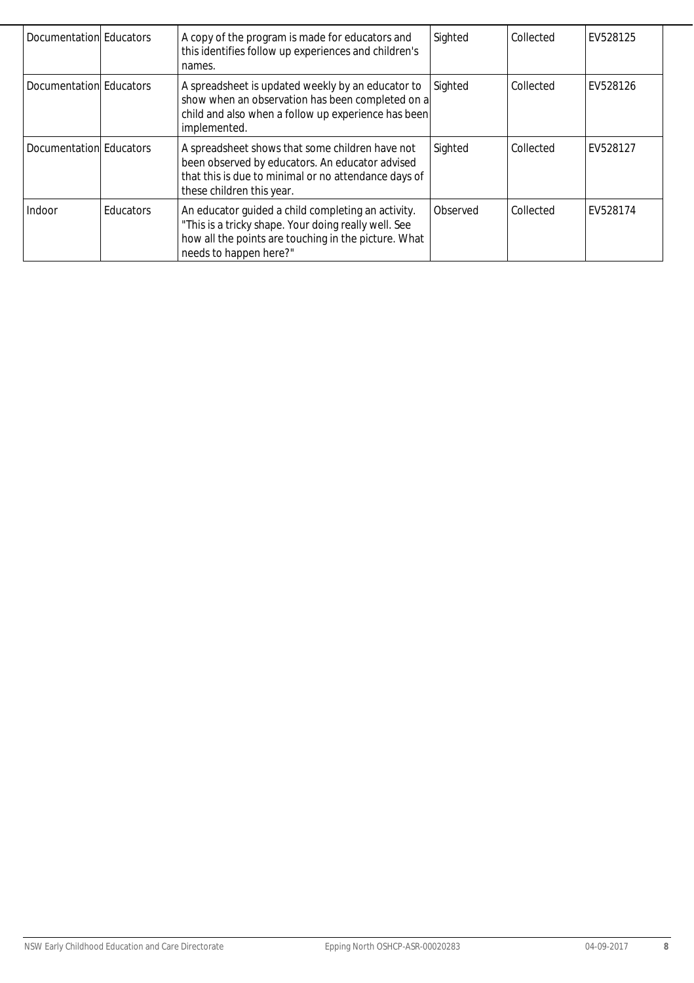| Documentation Educators |           | A copy of the program is made for educators and<br>this identifies follow up experiences and children's<br>names.                                                                            | Sighted  | Collected | EV528125 |
|-------------------------|-----------|----------------------------------------------------------------------------------------------------------------------------------------------------------------------------------------------|----------|-----------|----------|
| Documentation Educators |           | A spreadsheet is updated weekly by an educator to<br>show when an observation has been completed on a<br>child and also when a follow up experience has been<br>implemented.                 | Sighted  | Collected | EV528126 |
| Documentation Educators |           | A spreadsheet shows that some children have not<br>been observed by educators. An educator advised<br>that this is due to minimal or no attendance days of<br>these children this year.      | Sighted  | Collected | EV528127 |
| Indoor                  | Educators | An educator guided a child completing an activity.<br>"This is a tricky shape. Your doing really well. See<br>how all the points are touching in the picture. What<br>needs to happen here?" | Observed | Collected | EV528174 |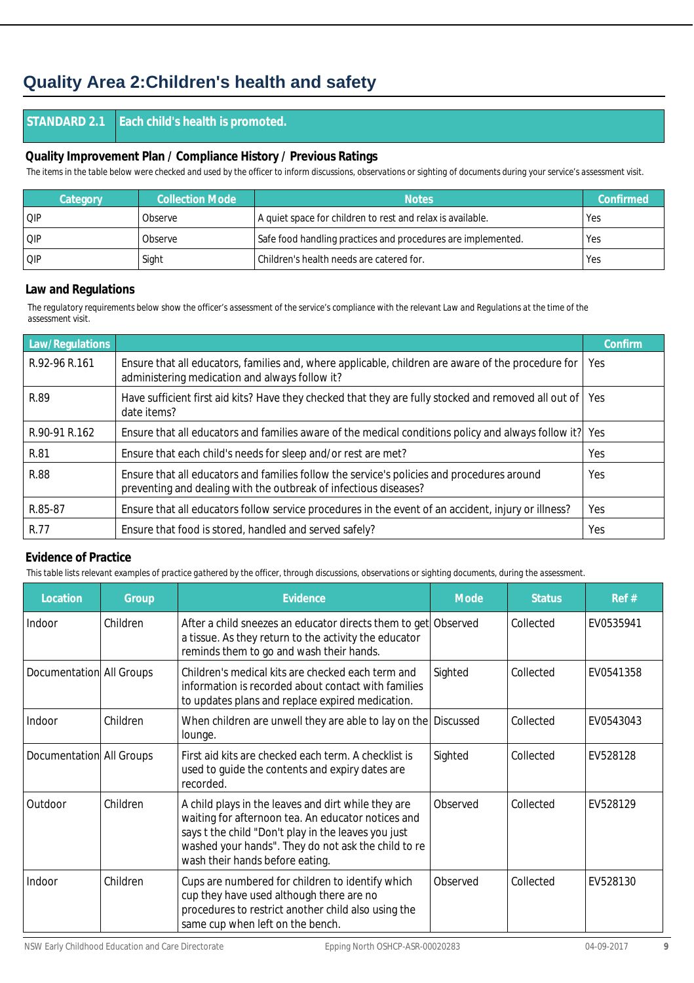## **Quality Area 2:Children's health and safety**

#### **STANDARD 2.1 Each child's health is promoted.**

#### **Quality Improvement Plan / Compliance History / Previous Ratings**

*The items in the table below were checked and used by the officer to inform discussions, observations or sighting of documents during your service's assessment visit.*

| <b>Category</b> | <b>Collection Mode</b> | <b>Notes</b>                                                 | Confirmed |
|-----------------|------------------------|--------------------------------------------------------------|-----------|
| QIP             | Observe                | A quiet space for children to rest and relax is available.   | Yes       |
| QIP             | Observe                | Safe food handling practices and procedures are implemented. | l Yes     |
| QIP             | Sight                  | Children's health needs are catered for.                     | l Yes     |

#### **Law and Regulations**

*The regulatory requirements below show the officer's assessment of the service's compliance with the relevant Law and Regulations at the time of the assessment visit.*

| Law/Regulations |                                                                                                                                                                | Confirm |
|-----------------|----------------------------------------------------------------------------------------------------------------------------------------------------------------|---------|
| R.92-96 R.161   | Ensure that all educators, families and, where applicable, children are aware of the procedure for<br>administering medication and always follow it?           | Yes     |
| R.89            | Have sufficient first aid kits? Have they checked that they are fully stocked and removed all out of<br>date items?                                            | Yes     |
| R.90-91 R.162   | Ensure that all educators and families aware of the medical conditions policy and always follow it?                                                            | Yes     |
| R.81            | Ensure that each child's needs for sleep and/or rest are met?                                                                                                  | Yes     |
| <b>R.88</b>     | Ensure that all educators and families follow the service's policies and procedures around<br>preventing and dealing with the outbreak of infectious diseases? | Yes     |
| R.85-87         | Ensure that all educators follow service procedures in the event of an accident, injury or illness?                                                            | Yes     |
| R.77            | Ensure that food is stored, handled and served safely?                                                                                                         | Yes     |

#### **Evidence of Practice**

| Location                 | Group    | Evidence                                                                                                                                                                                                                                                   | Mode     | <b>Status</b> | Ref#      |
|--------------------------|----------|------------------------------------------------------------------------------------------------------------------------------------------------------------------------------------------------------------------------------------------------------------|----------|---------------|-----------|
| Indoor                   | Children | After a child sneezes an educator directs them to get Observed<br>a tissue. As they return to the activity the educator<br>reminds them to go and wash their hands.                                                                                        |          | Collected     | EV0535941 |
| Documentation All Groups |          | Children's medical kits are checked each term and<br>information is recorded about contact with families<br>to updates plans and replace expired medication.                                                                                               | Sighted  | Collected     | EV0541358 |
| Indoor                   | Children | When children are unwell they are able to lay on the Discussed<br>lounge.                                                                                                                                                                                  |          | Collected     | EV0543043 |
| Documentation All Groups |          | First aid kits are checked each term. A checklist is<br>used to guide the contents and expiry dates are<br>recorded.                                                                                                                                       | Sighted  | Collected     | EV528128  |
| Outdoor                  | Children | A child plays in the leaves and dirt while they are<br>waiting for afternoon tea. An educator notices and<br>says t the child "Don't play in the leaves you just<br>washed your hands". They do not ask the child to re<br>wash their hands before eating. | Observed | Collected     | EV528129  |
| Indoor                   | Children | Cups are numbered for children to identify which<br>cup they have used although there are no<br>procedures to restrict another child also using the<br>same cup when left on the bench.                                                                    | Observed | Collected     | EV528130  |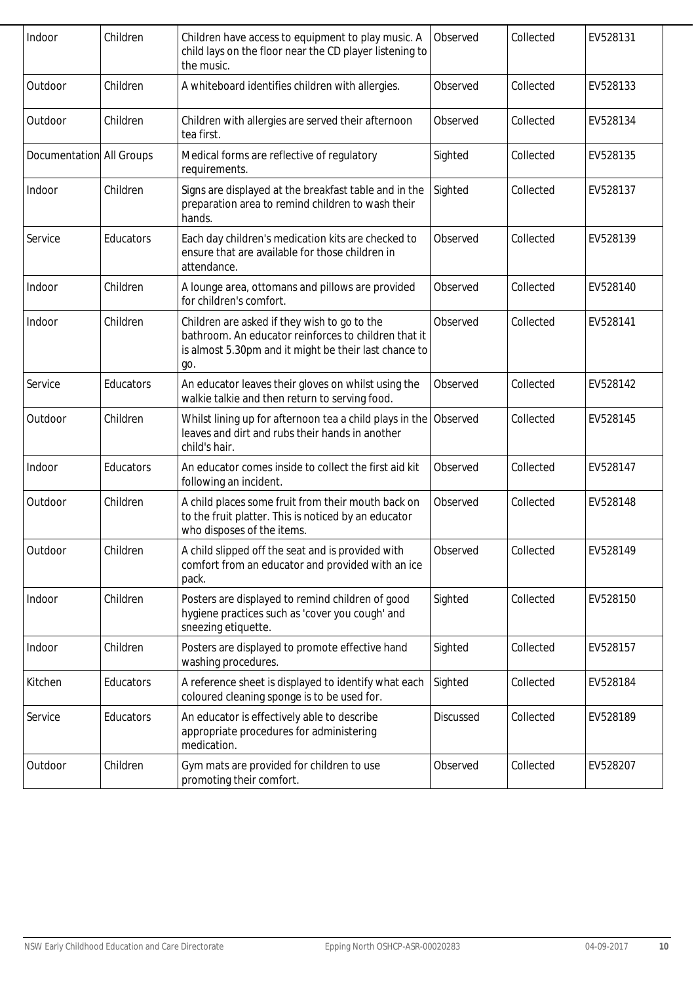| Indoor                   | Children  | Children have access to equipment to play music. A<br>child lays on the floor near the CD player listening to<br>the music.                                          | Observed  | Collected | EV528131 |
|--------------------------|-----------|----------------------------------------------------------------------------------------------------------------------------------------------------------------------|-----------|-----------|----------|
| Outdoor                  | Children  | A whiteboard identifies children with allergies.                                                                                                                     | Observed  | Collected | EV528133 |
| Outdoor                  | Children  | Children with allergies are served their afternoon<br>tea first.                                                                                                     | Observed  | Collected | EV528134 |
| Documentation All Groups |           | Medical forms are reflective of regulatory<br>requirements.                                                                                                          | Sighted   | Collected | EV528135 |
| Indoor                   | Children  | Signs are displayed at the breakfast table and in the<br>preparation area to remind children to wash their<br>hands.                                                 | Sighted   | Collected | EV528137 |
| Service                  | Educators | Each day children's medication kits are checked to<br>ensure that are available for those children in<br>attendance.                                                 | Observed  | Collected | EV528139 |
| Indoor                   | Children  | A lounge area, ottomans and pillows are provided<br>for children's comfort.                                                                                          | Observed  | Collected | EV528140 |
| Indoor                   | Children  | Children are asked if they wish to go to the<br>bathroom. An educator reinforces to children that it<br>is almost 5.30pm and it might be their last chance to<br>go. | Observed  | Collected | EV528141 |
| Service                  | Educators | An educator leaves their gloves on whilst using the<br>walkie talkie and then return to serving food.                                                                | Observed  | Collected | EV528142 |
| Outdoor                  | Children  | Whilst lining up for afternoon tea a child plays in the<br>leaves and dirt and rubs their hands in another<br>child's hair.                                          | Observed  | Collected | EV528145 |
| Indoor                   | Educators | An educator comes inside to collect the first aid kit<br>following an incident.                                                                                      | Observed  | Collected | EV528147 |
| Outdoor                  | Children  | A child places some fruit from their mouth back on<br>to the fruit platter. This is noticed by an educator<br>who disposes of the items.                             | Observed  | Collected | EV528148 |
| Outdoor                  | Children  | A child slipped off the seat and is provided with<br>comfort from an educator and provided with an ice<br>pack.                                                      | Observed  | Collected | EV528149 |
| Indoor                   | Children  | Posters are displayed to remind children of good<br>hygiene practices such as 'cover you cough' and<br>sneezing etiquette.                                           | Sighted   | Collected | EV528150 |
| Indoor                   | Children  | Posters are displayed to promote effective hand<br>washing procedures.                                                                                               | Sighted   | Collected | EV528157 |
| Kitchen                  | Educators | A reference sheet is displayed to identify what each<br>coloured cleaning sponge is to be used for.                                                                  | Sighted   | Collected | EV528184 |
| Service                  | Educators | An educator is effectively able to describe<br>appropriate procedures for administering<br>medication.                                                               | Discussed | Collected | EV528189 |
| Outdoor                  | Children  | Gym mats are provided for children to use<br>promoting their comfort.                                                                                                | Observed  | Collected | EV528207 |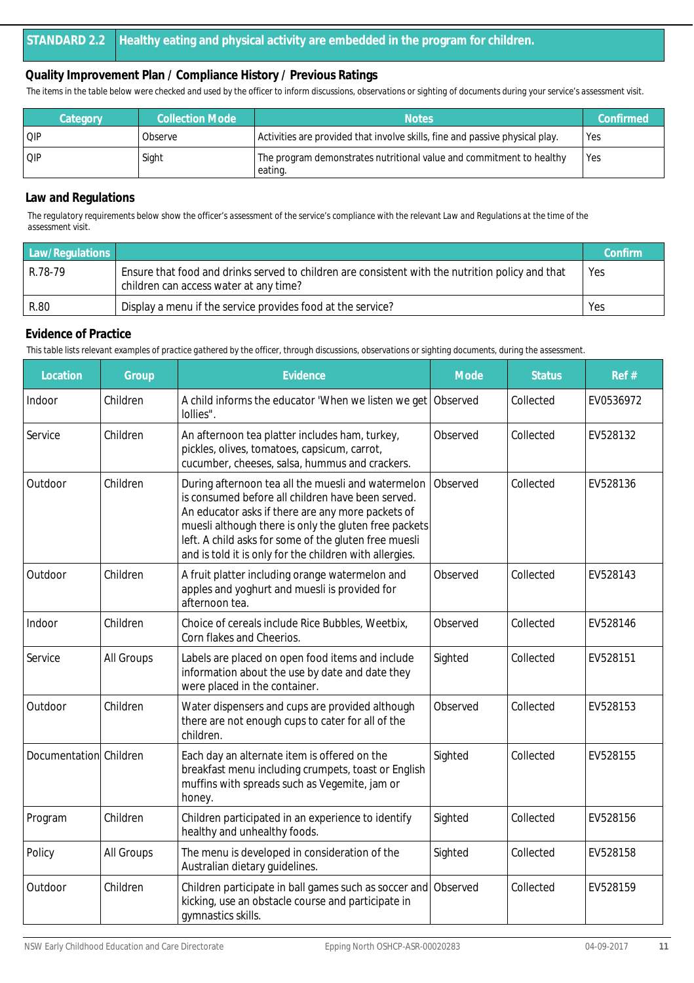*The items in the table below were checked and used by the officer to inform discussions, observations or sighting of documents during your service's assessment visit.*

| Category | <b>Collection Mode</b> | <b>Notes</b>                                                                    | Confirmed |
|----------|------------------------|---------------------------------------------------------------------------------|-----------|
| OIP      | Observe                | Activities are provided that involve skills, fine and passive physical play.    | Yes       |
| QIP      | Sight                  | The program demonstrates nutritional value and commitment to healthy<br>eating. | Yes       |

#### **Law and Regulations**

*The regulatory requirements below show the officer's assessment of the service's compliance with the relevant Law and Regulations at the time of the assessment visit.*

| Law/Regulations |                                                                                                                                            | Confirm |
|-----------------|--------------------------------------------------------------------------------------------------------------------------------------------|---------|
| R.78-79         | Ensure that food and drinks served to children are consistent with the nutrition policy and that<br>children can access water at any time? | Yes     |
| R.80            | Display a menu if the service provides food at the service?                                                                                | Yes     |

#### **Evidence of Practice**

| Location               | Group      | Evidence                                                                                                                                                                                                                                                                                                                                  | Mode     | <b>Status</b> | Ref#      |
|------------------------|------------|-------------------------------------------------------------------------------------------------------------------------------------------------------------------------------------------------------------------------------------------------------------------------------------------------------------------------------------------|----------|---------------|-----------|
| Indoor                 | Children   | A child informs the educator 'When we listen we get Observed<br>lollies".                                                                                                                                                                                                                                                                 |          | Collected     | EV0536972 |
| Service                | Children   | An afternoon tea platter includes ham, turkey,<br>pickles, olives, tomatoes, capsicum, carrot,<br>cucumber, cheeses, salsa, hummus and crackers.                                                                                                                                                                                          | Observed | Collected     | EV528132  |
| Outdoor                | Children   | During afternoon tea all the muesli and watermelon<br>is consumed before all children have been served.<br>An educator asks if there are any more packets of<br>muesli although there is only the gluten free packets<br>left. A child asks for some of the gluten free muesli<br>and is told it is only for the children with allergies. | Observed | Collected     | EV528136  |
| Outdoor                | Children   | A fruit platter including orange watermelon and<br>apples and yoghurt and muesli is provided for<br>afternoon tea.                                                                                                                                                                                                                        | Observed | Collected     | EV528143  |
| Indoor                 | Children   | Choice of cereals include Rice Bubbles, Weetbix,<br>Corn flakes and Cheerios.                                                                                                                                                                                                                                                             | Observed | Collected     | EV528146  |
| Service                | All Groups | Labels are placed on open food items and include<br>information about the use by date and date they<br>were placed in the container.                                                                                                                                                                                                      | Sighted  | Collected     | EV528151  |
| Outdoor                | Children   | Water dispensers and cups are provided although<br>there are not enough cups to cater for all of the<br>children.                                                                                                                                                                                                                         | Observed | Collected     | EV528153  |
| Documentation Children |            | Each day an alternate item is offered on the<br>breakfast menu including crumpets, toast or English<br>muffins with spreads such as Vegemite, jam or<br>honey.                                                                                                                                                                            | Sighted  | Collected     | EV528155  |
| Program                | Children   | Children participated in an experience to identify<br>healthy and unhealthy foods.                                                                                                                                                                                                                                                        | Sighted  | Collected     | EV528156  |
| Policy                 | All Groups | The menu is developed in consideration of the<br>Australian dietary guidelines.                                                                                                                                                                                                                                                           | Sighted  | Collected     | EV528158  |
| Outdoor                | Children   | Children participate in ball games such as soccer and<br>kicking, use an obstacle course and participate in<br>gymnastics skills.                                                                                                                                                                                                         | Observed | Collected     | EV528159  |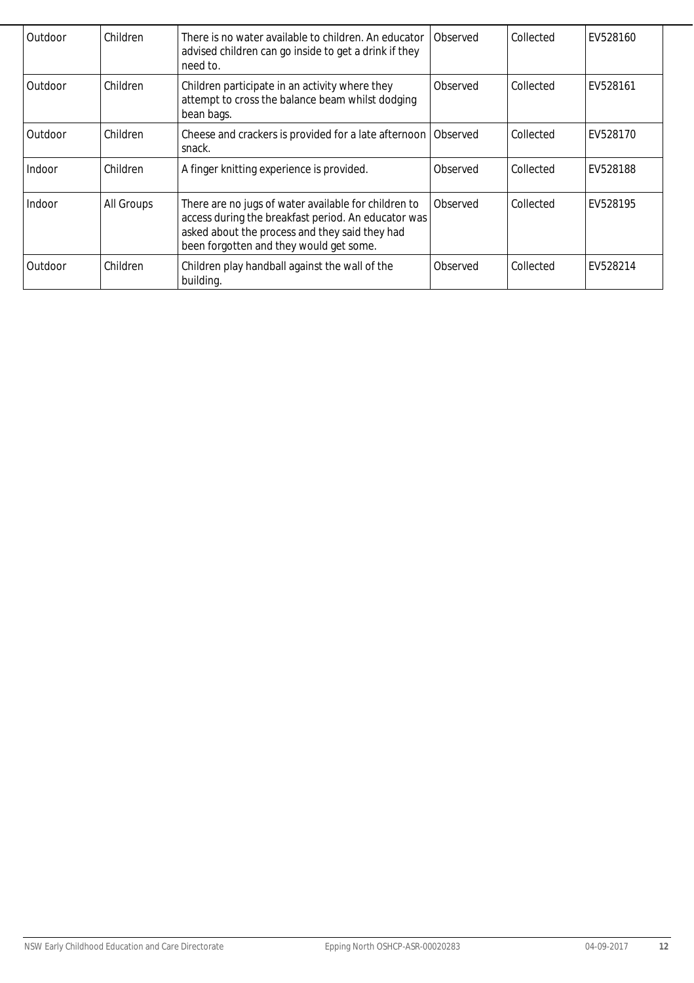| Outdoor | Children   | There is no water available to children. An educator<br>advised children can go inside to get a drink if they<br>need to.                                                                                | Observed | Collected | EV528160 |
|---------|------------|----------------------------------------------------------------------------------------------------------------------------------------------------------------------------------------------------------|----------|-----------|----------|
| Outdoor | Children   | Children participate in an activity where they<br>attempt to cross the balance beam whilst dodging<br>bean bags.                                                                                         | Observed | Collected | EV528161 |
| Outdoor | Children   | Cheese and crackers is provided for a late afternoon<br>snack.                                                                                                                                           | Observed | Collected | EV528170 |
| Indoor  | Children   | A finger knitting experience is provided.                                                                                                                                                                | Observed | Collected | EV528188 |
| Indoor  | All Groups | There are no jugs of water available for children to<br>access during the breakfast period. An educator was<br>asked about the process and they said they had<br>been forgotten and they would get some. | Observed | Collected | EV528195 |
| Outdoor | Children   | Children play handball against the wall of the<br>building.                                                                                                                                              | Observed | Collected | EV528214 |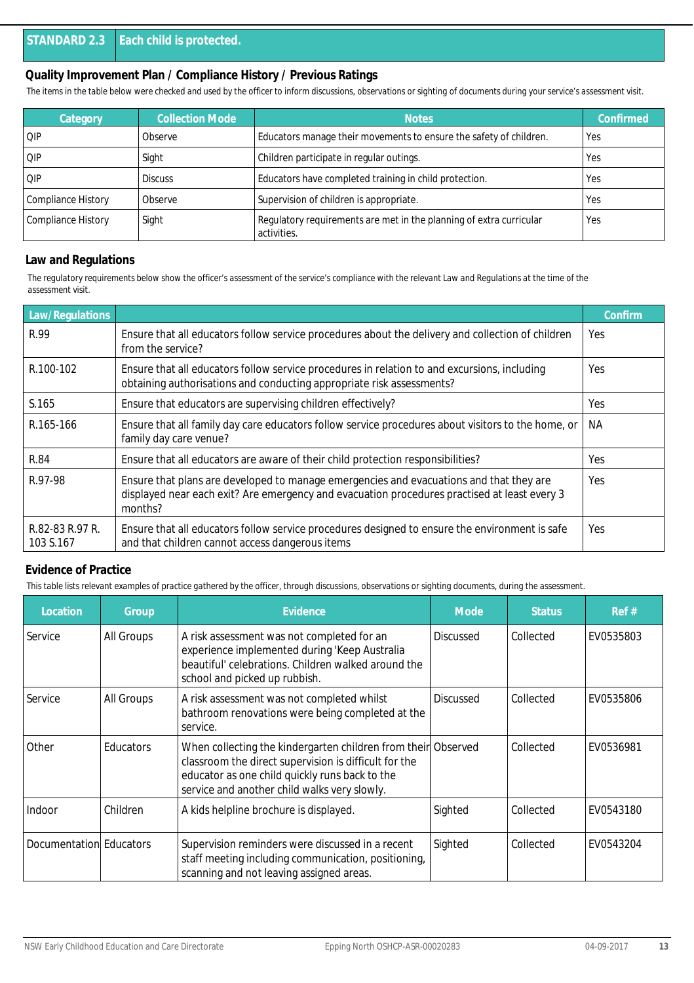*The items in the table below were checked and used by the officer to inform discussions, observations or sighting of documents during your service's assessment visit.*

| Category                  | <b>Collection Mode</b> | <b>Notes</b>                                                                       | Confirmed  |
|---------------------------|------------------------|------------------------------------------------------------------------------------|------------|
| QIP                       | Observe                | Educators manage their movements to ensure the safety of children.                 | Yes        |
| QIP                       | Sight                  | Children participate in regular outings.                                           | Yes        |
| QIP                       | <b>Discuss</b>         | Educators have completed training in child protection.                             | <b>Yes</b> |
| <b>Compliance History</b> | Observe                | Supervision of children is appropriate.                                            | Yes        |
| Compliance History        | Sight                  | Regulatory requirements are met in the planning of extra curricular<br>activities. | Yes        |

#### **Law and Regulations**

*The regulatory requirements below show the officer's assessment of the service's compliance with the relevant Law and Regulations at the time of the assessment visit.*

| Law/Regulations              |                                                                                                                                                                                                    | Confirm |
|------------------------------|----------------------------------------------------------------------------------------------------------------------------------------------------------------------------------------------------|---------|
| R.99                         | Ensure that all educators follow service procedures about the delivery and collection of children<br>from the service?                                                                             | Yes     |
| R.100-102                    | Ensure that all educators follow service procedures in relation to and excursions, including<br>obtaining authorisations and conducting appropriate risk assessments?                              | Yes     |
| S.165                        | Ensure that educators are supervising children effectively?                                                                                                                                        | Yes     |
| R.165-166                    | Ensure that all family day care educators follow service procedures about visitors to the home, or<br>family day care venue?                                                                       | NA.     |
| R.84                         | Ensure that all educators are aware of their child protection responsibilities?                                                                                                                    | Yes     |
| R.97-98                      | Ensure that plans are developed to manage emergencies and evacuations and that they are<br>displayed near each exit? Are emergency and evacuation procedures practised at least every 3<br>months? | Yes     |
| R.82-83 R.97 R.<br>103 S.167 | Ensure that all educators follow service procedures designed to ensure the environment is safe<br>and that children cannot access dangerous items                                                  | Yes     |

#### **Evidence of Practice**

| Location                | Group            | Evidence                                                                                                                                                                                                                 | <b>Mode</b>      | <b>Status</b> | Ref#      |
|-------------------------|------------------|--------------------------------------------------------------------------------------------------------------------------------------------------------------------------------------------------------------------------|------------------|---------------|-----------|
| Service                 | All Groups       | A risk assessment was not completed for an<br>experience implemented during 'Keep Australia<br>beautiful' celebrations. Children walked around the<br>school and picked up rubbish.                                      | <b>Discussed</b> | Collected     | EV0535803 |
| Service                 | All Groups       | A risk assessment was not completed whilst<br>bathroom renovations were being completed at the<br>service.                                                                                                               | <b>Discussed</b> | Collected     | EV0535806 |
| Other                   | <b>Educators</b> | When collecting the kindergarten children from their Observed<br>classroom the direct supervision is difficult for the<br>educator as one child quickly runs back to the<br>service and another child walks very slowly. |                  | Collected     | EV0536981 |
| Indoor                  | Children         | A kids helpline brochure is displayed.                                                                                                                                                                                   | Sighted          | Collected     | EV0543180 |
| Documentation Educators |                  | Supervision reminders were discussed in a recent<br>staff meeting including communication, positioning,<br>scanning and not leaving assigned areas.                                                                      | Sighted          | Collected     | EV0543204 |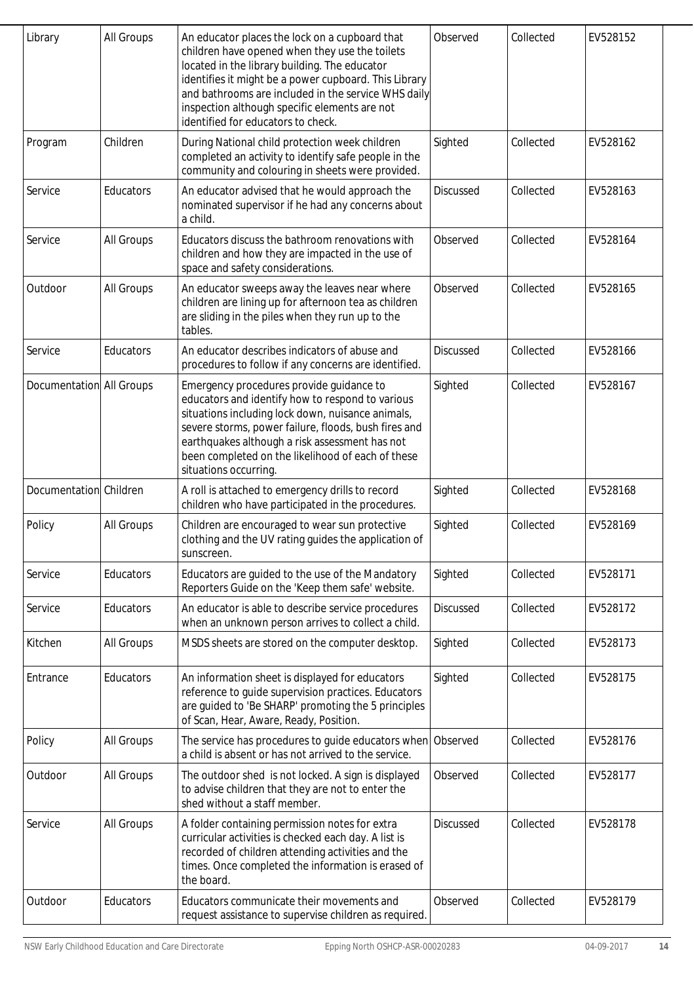| Library                  | All Groups | An educator places the lock on a cupboard that<br>children have opened when they use the toilets<br>located in the library building. The educator<br>identifies it might be a power cupboard. This Library<br>and bathrooms are included in the service WHS daily<br>inspection although specific elements are not<br>identified for educators to check. | Observed         | Collected | EV528152 |
|--------------------------|------------|----------------------------------------------------------------------------------------------------------------------------------------------------------------------------------------------------------------------------------------------------------------------------------------------------------------------------------------------------------|------------------|-----------|----------|
| Program                  | Children   | During National child protection week children<br>completed an activity to identify safe people in the<br>community and colouring in sheets were provided.                                                                                                                                                                                               | Sighted          | Collected | EV528162 |
| Service                  | Educators  | An educator advised that he would approach the<br>nominated supervisor if he had any concerns about<br>a child.                                                                                                                                                                                                                                          | Discussed        | Collected | EV528163 |
| Service                  | All Groups | Educators discuss the bathroom renovations with<br>children and how they are impacted in the use of<br>space and safety considerations.                                                                                                                                                                                                                  | Observed         | Collected | EV528164 |
| Outdoor                  | All Groups | An educator sweeps away the leaves near where<br>children are lining up for afternoon tea as children<br>are sliding in the piles when they run up to the<br>tables.                                                                                                                                                                                     | Observed         | Collected | EV528165 |
| Service                  | Educators  | An educator describes indicators of abuse and<br>procedures to follow if any concerns are identified.                                                                                                                                                                                                                                                    | <b>Discussed</b> | Collected | EV528166 |
| Documentation All Groups |            | Emergency procedures provide guidance to<br>educators and identify how to respond to various<br>situations including lock down, nuisance animals,<br>severe storms, power failure, floods, bush fires and<br>earthquakes although a risk assessment has not<br>been completed on the likelihood of each of these<br>situations occurring.                | Sighted          | Collected | EV528167 |
| Documentation Children   |            | A roll is attached to emergency drills to record<br>children who have participated in the procedures.                                                                                                                                                                                                                                                    | Sighted          | Collected | EV528168 |
| Policy                   | All Groups | Children are encouraged to wear sun protective<br>clothing and the UV rating guides the application of<br>sunscreen.                                                                                                                                                                                                                                     | Sighted          | Collected | EV528169 |
| Service                  | Educators  | Educators are guided to the use of the Mandatory<br>Reporters Guide on the 'Keep them safe' website.                                                                                                                                                                                                                                                     | Sighted          | Collected | EV528171 |
| Service                  | Educators  | An educator is able to describe service procedures<br>when an unknown person arrives to collect a child.                                                                                                                                                                                                                                                 | <b>Discussed</b> | Collected | EV528172 |
| Kitchen                  | All Groups | MSDS sheets are stored on the computer desktop.                                                                                                                                                                                                                                                                                                          | Sighted          | Collected | EV528173 |
| Entrance                 | Educators  | An information sheet is displayed for educators<br>reference to guide supervision practices. Educators<br>are guided to 'Be SHARP' promoting the 5 principles<br>of Scan, Hear, Aware, Ready, Position.                                                                                                                                                  | Sighted          | Collected | EV528175 |
| Policy                   | All Groups | The service has procedures to guide educators when<br>a child is absent or has not arrived to the service.                                                                                                                                                                                                                                               | Observed         | Collected | EV528176 |
| Outdoor                  | All Groups | The outdoor shed is not locked. A sign is displayed<br>to advise children that they are not to enter the<br>shed without a staff member.                                                                                                                                                                                                                 | Observed         | Collected | EV528177 |
| Service                  | All Groups | A folder containing permission notes for extra<br>curricular activities is checked each day. A list is<br>recorded of children attending activities and the<br>times. Once completed the information is erased of<br>the board.                                                                                                                          | <b>Discussed</b> | Collected | EV528178 |
| Outdoor                  | Educators  | Educators communicate their movements and<br>request assistance to supervise children as required.                                                                                                                                                                                                                                                       | Observed         | Collected | EV528179 |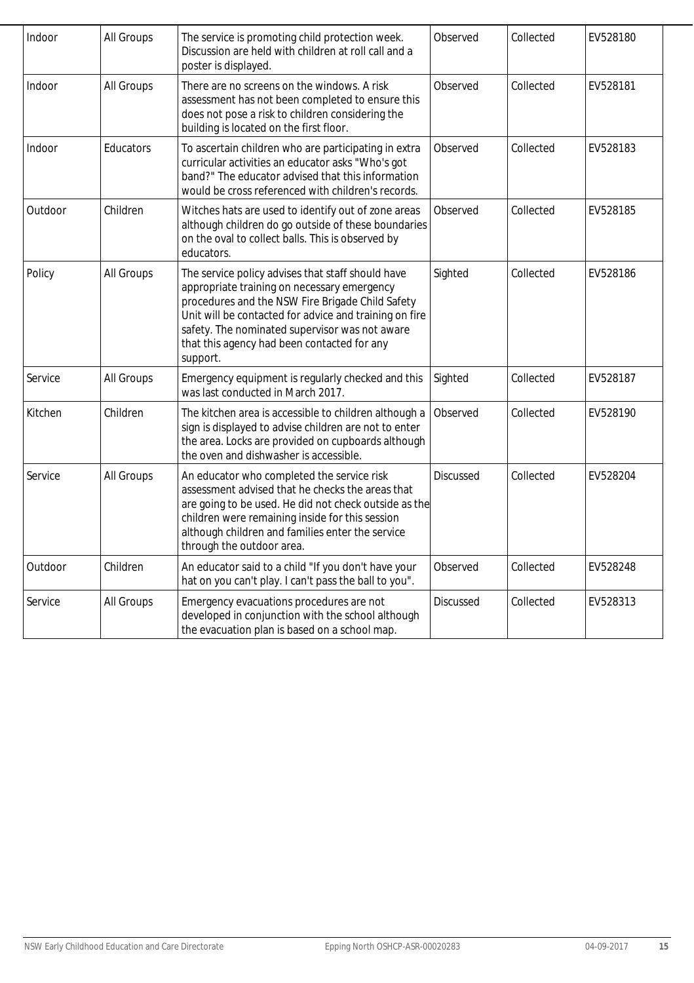| Indoor  | All Groups | The service is promoting child protection week.<br>Discussion are held with children at roll call and a<br>poster is displayed.                                                                                                                                                                                             | Observed  | Collected | EV528180 |
|---------|------------|-----------------------------------------------------------------------------------------------------------------------------------------------------------------------------------------------------------------------------------------------------------------------------------------------------------------------------|-----------|-----------|----------|
| Indoor  | All Groups | There are no screens on the windows. A risk<br>assessment has not been completed to ensure this<br>does not pose a risk to children considering the<br>building is located on the first floor.                                                                                                                              | Observed  | Collected | EV528181 |
| Indoor  | Educators  | To ascertain children who are participating in extra<br>curricular activities an educator asks "Who's got<br>band?" The educator advised that this information<br>would be cross referenced with children's records.                                                                                                        | Observed  | Collected | EV528183 |
| Outdoor | Children   | Witches hats are used to identify out of zone areas<br>although children do go outside of these boundaries<br>on the oval to collect balls. This is observed by<br>educators.                                                                                                                                               | Observed  | Collected | EV528185 |
| Policy  | All Groups | The service policy advises that staff should have<br>appropriate training on necessary emergency<br>procedures and the NSW Fire Brigade Child Safety<br>Unit will be contacted for advice and training on fire<br>safety. The nominated supervisor was not aware<br>that this agency had been contacted for any<br>support. | Sighted   | Collected | EV528186 |
| Service | All Groups | Emergency equipment is regularly checked and this<br>was last conducted in March 2017.                                                                                                                                                                                                                                      | Sighted   | Collected | EV528187 |
| Kitchen | Children   | The kitchen area is accessible to children although a<br>sign is displayed to advise children are not to enter<br>the area. Locks are provided on cupboards although<br>the oven and dishwasher is accessible.                                                                                                              | Observed  | Collected | EV528190 |
| Service | All Groups | An educator who completed the service risk<br>assessment advised that he checks the areas that<br>are going to be used. He did not check outside as the<br>children were remaining inside for this session<br>although children and families enter the service<br>through the outdoor area.                                 | Discussed | Collected | EV528204 |
| Outdoor | Children   | An educator said to a child "If you don't have your<br>hat on you can't play. I can't pass the ball to you".                                                                                                                                                                                                                | Observed  | Collected | EV528248 |
| Service | All Groups | Emergency evacuations procedures are not<br>developed in conjunction with the school although<br>the evacuation plan is based on a school map.                                                                                                                                                                              | Discussed | Collected | EV528313 |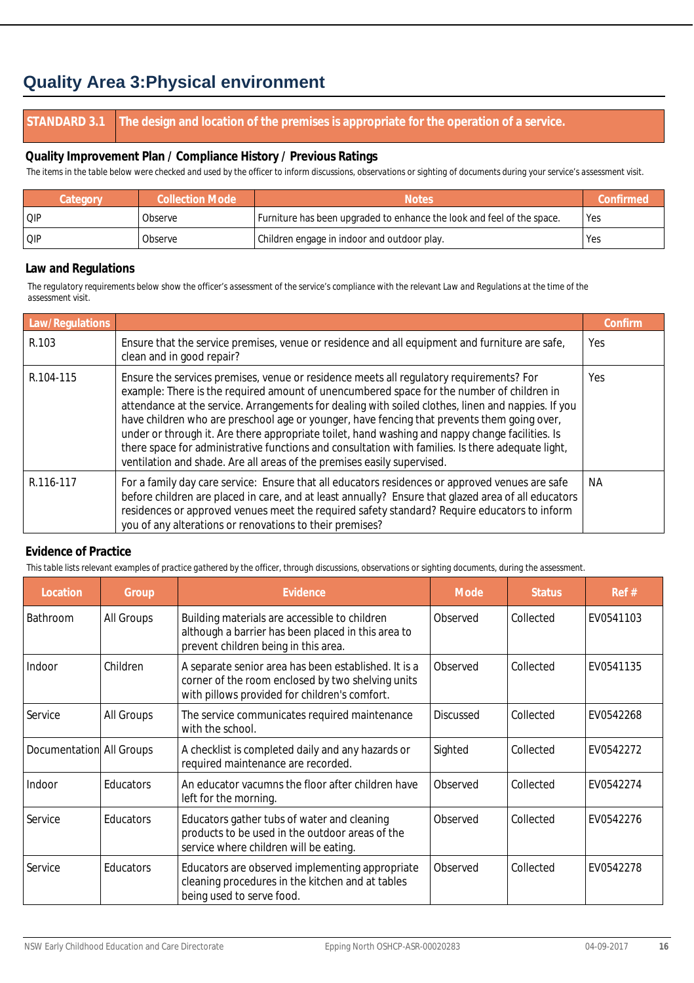## **Quality Area 3:Physical environment**

#### **STANDARD 3.1 The design and location of the premises is appropriate for the operation of a service.**

#### **Quality Improvement Plan / Compliance History / Previous Ratings**

*The items in the table below were checked and used by the officer to inform discussions, observations or sighting of documents during your service's assessment visit.*

| Category | <b>Collection Mode</b> | <b>Notes</b>                                                           | Confirmed |
|----------|------------------------|------------------------------------------------------------------------|-----------|
| QIP      | Observe                | Furniture has been upgraded to enhance the look and feel of the space. | Yes       |
| QIP      | Observe                | Children engage in indoor and outdoor play.                            | Yes       |

#### **Law and Regulations**

*The regulatory requirements below show the officer's assessment of the service's compliance with the relevant Law and Regulations at the time of the assessment visit.*

| Law/Regulations |                                                                                                                                                                                                                                                                                                                                                                                                                                                                                                                                                                                                                                                                              | Confirm    |
|-----------------|------------------------------------------------------------------------------------------------------------------------------------------------------------------------------------------------------------------------------------------------------------------------------------------------------------------------------------------------------------------------------------------------------------------------------------------------------------------------------------------------------------------------------------------------------------------------------------------------------------------------------------------------------------------------------|------------|
| R.103           | Ensure that the service premises, venue or residence and all equipment and furniture are safe,<br>clean and in good repair?                                                                                                                                                                                                                                                                                                                                                                                                                                                                                                                                                  | <b>Yes</b> |
| R.104-115       | Ensure the services premises, venue or residence meets all regulatory requirements? For<br>example: There is the required amount of unencumbered space for the number of children in<br>attendance at the service. Arrangements for dealing with soiled clothes, linen and nappies. If you<br>have children who are preschool age or younger, have fencing that prevents them going over,<br>under or through it. Are there appropriate toilet, hand washing and nappy change facilities. Is<br>there space for administrative functions and consultation with families. Is there adequate light,<br>ventilation and shade. Are all areas of the premises easily supervised. | Yes.       |
| R.116-117       | For a family day care service: Ensure that all educators residences or approved venues are safe<br>before children are placed in care, and at least annually? Ensure that glazed area of all educators<br>residences or approved venues meet the required safety standard? Require educators to inform<br>you of any alterations or renovations to their premises?                                                                                                                                                                                                                                                                                                           | ΝA         |

#### **Evidence of Practice**

| Location                 | Group            | Evidence                                                                                                                                                   | Mode             | <b>Status</b> | Ref#      |
|--------------------------|------------------|------------------------------------------------------------------------------------------------------------------------------------------------------------|------------------|---------------|-----------|
| <b>Bathroom</b>          | All Groups       | Building materials are accessible to children<br>although a barrier has been placed in this area to<br>prevent children being in this area.                | Observed         | Collected     | EV0541103 |
| Indoor                   | Children         | A separate senior area has been established. It is a<br>corner of the room enclosed by two shelving units<br>with pillows provided for children's comfort. | Observed         | Collected     | EV0541135 |
| Service                  | All Groups       | The service communicates required maintenance<br>with the school.                                                                                          | <b>Discussed</b> | Collected     | EV0542268 |
| Documentation All Groups |                  | A checklist is completed daily and any hazards or<br>required maintenance are recorded.                                                                    | Sighted          | Collected     | EV0542272 |
| Indoor                   | Educators        | An educator vacumns the floor after children have<br>left for the morning.                                                                                 | Observed         | Collected     | EV0542274 |
| Service                  | <b>Educators</b> | Educators gather tubs of water and cleaning<br>products to be used in the outdoor areas of the<br>service where children will be eating.                   | Observed         | Collected     | EV0542276 |
| Service                  | <b>Educators</b> | Educators are observed implementing appropriate<br>cleaning procedures in the kitchen and at tables<br>being used to serve food.                           | Observed         | Collected     | EV0542278 |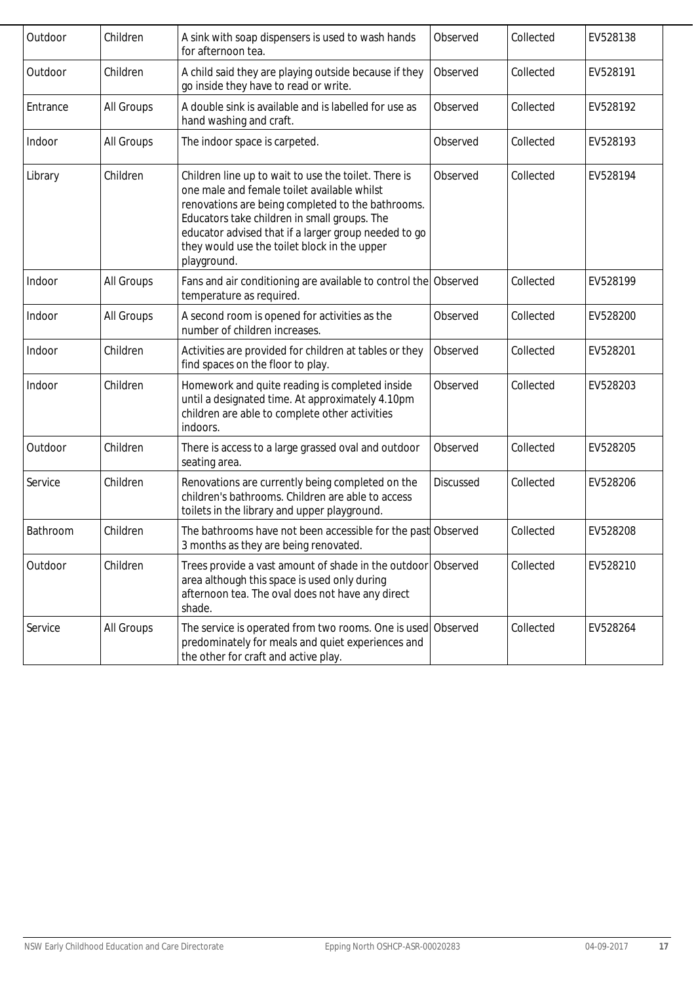| Outdoor  | Children   | A sink with soap dispensers is used to wash hands<br>for afternoon tea.                                                                                                                                                                                                                                                         | Observed         | Collected | EV528138 |
|----------|------------|---------------------------------------------------------------------------------------------------------------------------------------------------------------------------------------------------------------------------------------------------------------------------------------------------------------------------------|------------------|-----------|----------|
| Outdoor  | Children   | A child said they are playing outside because if they<br>go inside they have to read or write.                                                                                                                                                                                                                                  | Observed         | Collected | EV528191 |
| Entrance | All Groups | A double sink is available and is labelled for use as<br>hand washing and craft.                                                                                                                                                                                                                                                | Observed         | Collected | EV528192 |
| Indoor   | All Groups | The indoor space is carpeted.                                                                                                                                                                                                                                                                                                   | Observed         | Collected | EV528193 |
| Library  | Children   | Children line up to wait to use the toilet. There is<br>one male and female toilet available whilst<br>renovations are being completed to the bathrooms.<br>Educators take children in small groups. The<br>educator advised that if a larger group needed to go<br>they would use the toilet block in the upper<br>playground. | Observed         | Collected | EV528194 |
| Indoor   | All Groups | Fans and air conditioning are available to control the Observed<br>temperature as required.                                                                                                                                                                                                                                     |                  | Collected | EV528199 |
| Indoor   | All Groups | A second room is opened for activities as the<br>number of children increases.                                                                                                                                                                                                                                                  | Observed         | Collected | EV528200 |
| Indoor   | Children   | Activities are provided for children at tables or they<br>find spaces on the floor to play.                                                                                                                                                                                                                                     | Observed         | Collected | EV528201 |
| Indoor   | Children   | Homework and quite reading is completed inside<br>until a designated time. At approximately 4.10pm<br>children are able to complete other activities<br>indoors.                                                                                                                                                                | Observed         | Collected | EV528203 |
| Outdoor  | Children   | There is access to a large grassed oval and outdoor<br>seating area.                                                                                                                                                                                                                                                            | Observed         | Collected | EV528205 |
| Service  | Children   | Renovations are currently being completed on the<br>children's bathrooms. Children are able to access<br>toilets in the library and upper playground.                                                                                                                                                                           | <b>Discussed</b> | Collected | EV528206 |
| Bathroom | Children   | The bathrooms have not been accessible for the past Observed<br>3 months as they are being renovated.                                                                                                                                                                                                                           |                  | Collected | EV528208 |
| Outdoor  | Children   | Trees provide a vast amount of shade in the outdoor Observed<br>area although this space is used only during<br>afternoon tea. The oval does not have any direct<br>shade.                                                                                                                                                      |                  | Collected | EV528210 |
| Service  | All Groups | The service is operated from two rooms. One is used Observed<br>predominately for meals and quiet experiences and<br>the other for craft and active play.                                                                                                                                                                       |                  | Collected | EV528264 |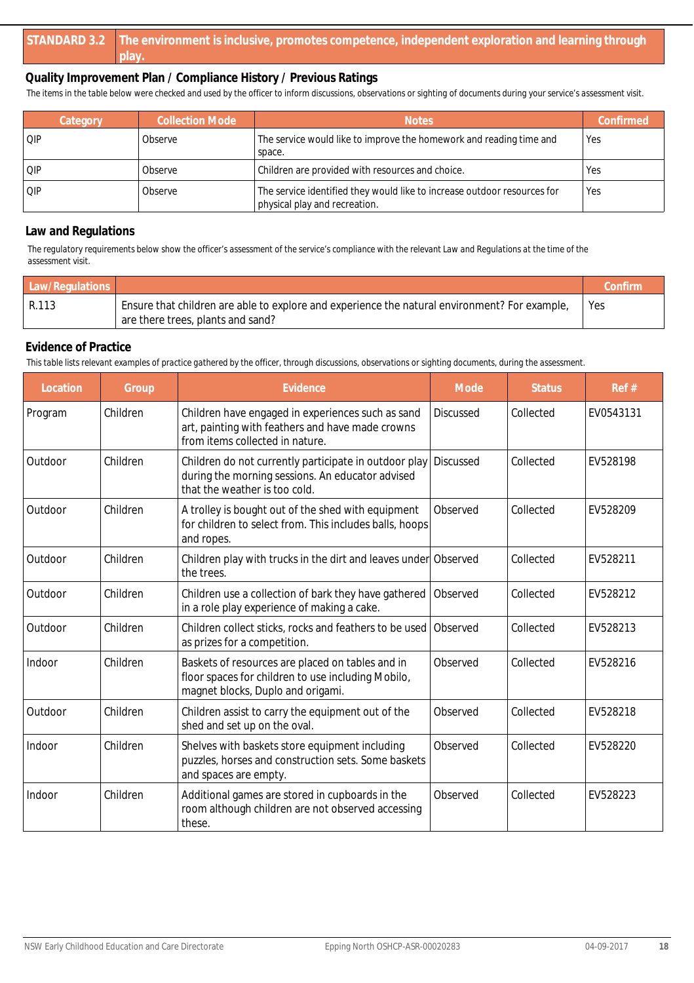*The items in the table below were checked and used by the officer to inform discussions, observations or sighting of documents during your service's assessment visit.*

| Category | <b>Collection Mode</b> | <b>Notes</b>                                                                                              | Confirmed |
|----------|------------------------|-----------------------------------------------------------------------------------------------------------|-----------|
| l QIP    | Observe                | The service would like to improve the homework and reading time and<br>space.                             | 'Yes      |
| l QIP    | Observe                | Children are provided with resources and choice.                                                          | Yes       |
| l OIP    | Observe                | The service identified they would like to increase outdoor resources for<br>physical play and recreation. | 'Yes      |

#### **Law and Regulations**

*The regulatory requirements below show the officer's assessment of the service's compliance with the relevant Law and Regulations at the time of the assessment visit.*

| Law/Regulations |                                                                                                                                    | Confirm |
|-----------------|------------------------------------------------------------------------------------------------------------------------------------|---------|
| R.113           | Ensure that children are able to explore and experience the natural environment? For example,<br>are there trees, plants and sand? | Yes     |

#### **Evidence of Practice**

| Location | Group    | Evidence                                                                                                                                    | Mode             | <b>Status</b> | Ref#      |
|----------|----------|---------------------------------------------------------------------------------------------------------------------------------------------|------------------|---------------|-----------|
| Program  | Children | Children have engaged in experiences such as sand<br>art, painting with feathers and have made crowns<br>from items collected in nature.    | <b>Discussed</b> | Collected     | EV0543131 |
| Outdoor  | Children | Children do not currently participate in outdoor play<br>during the morning sessions. An educator advised<br>that the weather is too cold.  | <b>Discussed</b> | Collected     | EV528198  |
| Outdoor  | Children | A trolley is bought out of the shed with equipment<br>for children to select from. This includes balls, hoops<br>and ropes.                 | Observed         | Collected     | EV528209  |
| Outdoor  | Children | Children play with trucks in the dirt and leaves under Observed<br>the trees.                                                               |                  | Collected     | EV528211  |
| Outdoor  | Children | Children use a collection of bark they have gathered<br>in a role play experience of making a cake.                                         | Observed         | Collected     | EV528212  |
| Outdoor  | Children | Children collect sticks, rocks and feathers to be used<br>as prizes for a competition.                                                      | Observed         | Collected     | EV528213  |
| Indoor   | Children | Baskets of resources are placed on tables and in<br>floor spaces for children to use including Mobilo,<br>magnet blocks, Duplo and origami. | Observed         | Collected     | EV528216  |
| Outdoor  | Children | Children assist to carry the equipment out of the<br>shed and set up on the oval.                                                           | Observed         | Collected     | EV528218  |
| Indoor   | Children | Shelves with baskets store equipment including<br>puzzles, horses and construction sets. Some baskets<br>and spaces are empty.              | Observed         | Collected     | EV528220  |
| Indoor   | Children | Additional games are stored in cupboards in the<br>room although children are not observed accessing<br>these.                              | Observed         | Collected     | EV528223  |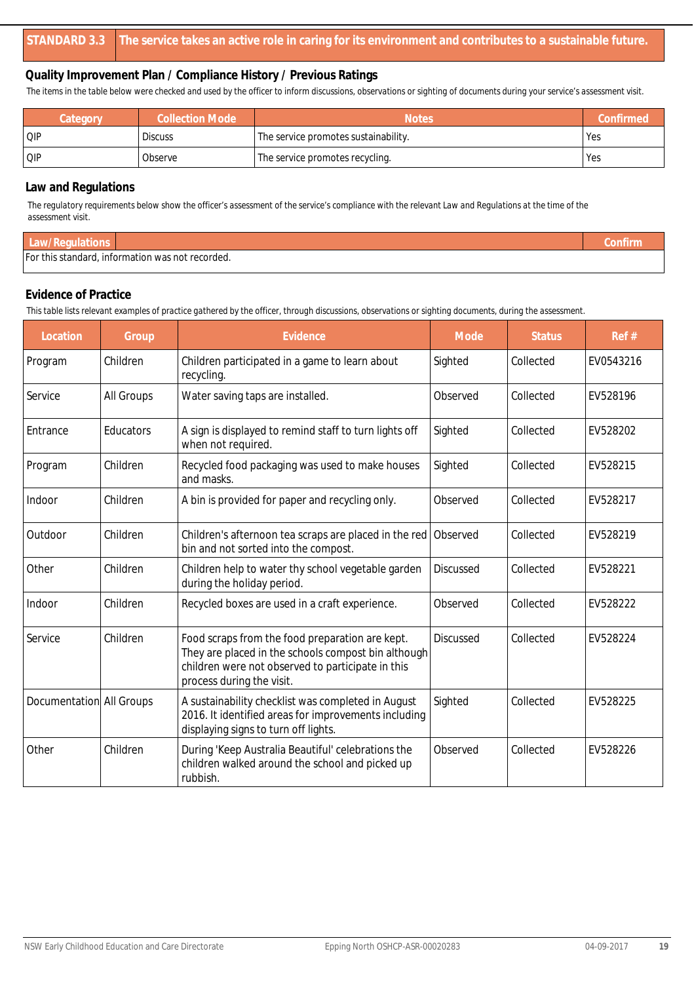*The items in the table below were checked and used by the officer to inform discussions, observations or sighting of documents during your service's assessment visit.*

| Category | <b>Collection Mode</b> | <b>Notes</b>                         | Confirmed |
|----------|------------------------|--------------------------------------|-----------|
| QIP      | <b>Discuss</b>         | The service promotes sustainability. | Yes       |
| QIP      | Observe                | The service promotes recycling.      | Yes       |

#### **Law and Regulations**

*The regulatory requirements below show the officer's assessment of the service's compliance with the relevant Law and Regulations at the time of the assessment visit.*

| Law/Regulations |                                                  | Confirm |
|-----------------|--------------------------------------------------|---------|
|                 | For this standard, information was not recorded. |         |

### **Evidence of Practice**

| Location                 | Group      | Evidence                                                                                                                                                                                 | Mode             | <b>Status</b> | Ref#      |
|--------------------------|------------|------------------------------------------------------------------------------------------------------------------------------------------------------------------------------------------|------------------|---------------|-----------|
| Program                  | Children   | Children participated in a game to learn about<br>recycling.                                                                                                                             | Sighted          | Collected     | EV0543216 |
| Service                  | All Groups | Water saving taps are installed.                                                                                                                                                         | Observed         | Collected     | EV528196  |
| Entrance                 | Educators  | A sign is displayed to remind staff to turn lights off<br>when not required.                                                                                                             | Sighted          | Collected     | EV528202  |
| Program                  | Children   | Recycled food packaging was used to make houses<br>and masks.                                                                                                                            | Sighted          | Collected     | EV528215  |
| Indoor                   | Children   | A bin is provided for paper and recycling only.                                                                                                                                          | Observed         | Collected     | EV528217  |
| Outdoor                  | Children   | Children's afternoon tea scraps are placed in the red<br>bin and not sorted into the compost.                                                                                            | Observed         | Collected     | EV528219  |
| Other                    | Children   | Children help to water thy school vegetable garden<br>during the holiday period.                                                                                                         | <b>Discussed</b> | Collected     | EV528221  |
| Indoor                   | Children   | Recycled boxes are used in a craft experience.                                                                                                                                           | Observed         | Collected     | EV528222  |
| Service                  | Children   | Food scraps from the food preparation are kept.<br>They are placed in the schools compost bin although<br>children were not observed to participate in this<br>process during the visit. | <b>Discussed</b> | Collected     | EV528224  |
| Documentation All Groups |            | A sustainability checklist was completed in August<br>2016. It identified areas for improvements including<br>displaying signs to turn off lights.                                       | Sighted          | Collected     | EV528225  |
| Other                    | Children   | During 'Keep Australia Beautiful' celebrations the<br>children walked around the school and picked up<br>rubbish.                                                                        | Observed         | Collected     | EV528226  |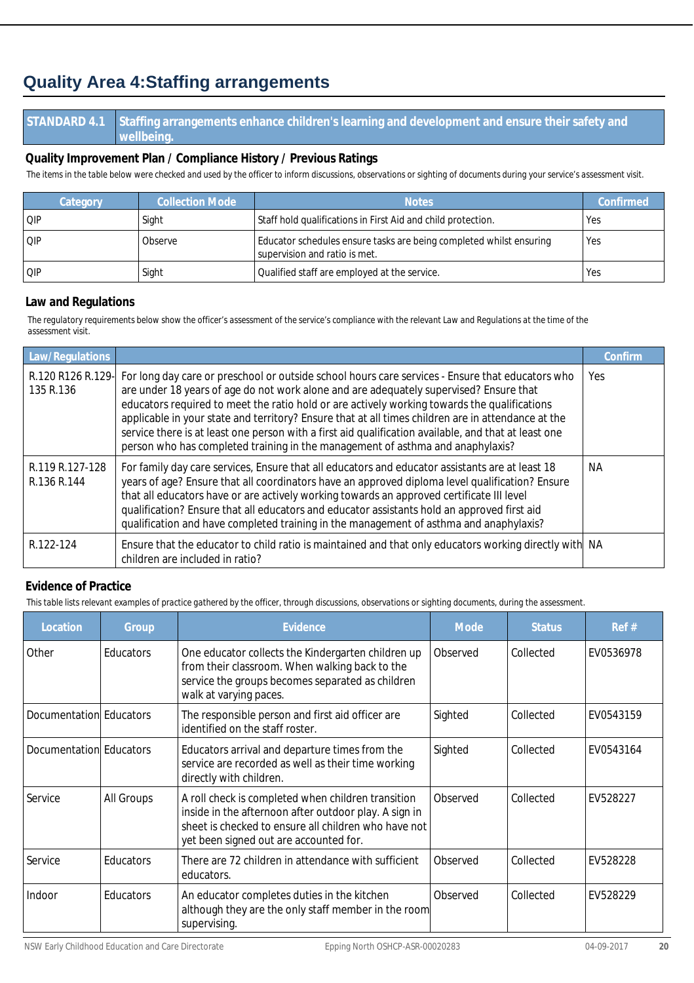## **Quality Area 4:Staffing arrangements**

#### **STANDARD 4.1 Staffing arrangements enhance children's learning and development and ensure their safety and wellbeing.**

#### **Quality Improvement Plan / Compliance History / Previous Ratings**

*The items in the table below were checked and used by the officer to inform discussions, observations or sighting of documents during your service's assessment visit.*

| Category | Collection Mode | <b>Notes</b>                                                                                         | Confirmed  |
|----------|-----------------|------------------------------------------------------------------------------------------------------|------------|
| OIP      | Sight           | Staff hold qualifications in First Aid and child protection.                                         | Yes        |
| OIP      | Observe         | Educator schedules ensure tasks are being completed whilst ensuring<br>supervision and ratio is met. | <b>Yes</b> |
| QIP      | Sight           | Qualified staff are employed at the service.                                                         | Yes        |

#### **Law and Regulations**

*The regulatory requirements below show the officer's assessment of the service's compliance with the relevant Law and Regulations at the time of the assessment visit.*

| Law/Regulations                |                                                                                                                                                                                                                                                                                                                                                                                                                                                                                                                                                                                            | Confirm   |
|--------------------------------|--------------------------------------------------------------------------------------------------------------------------------------------------------------------------------------------------------------------------------------------------------------------------------------------------------------------------------------------------------------------------------------------------------------------------------------------------------------------------------------------------------------------------------------------------------------------------------------------|-----------|
| R.120 R126 R.129-<br>135 R.136 | For long day care or preschool or outside school hours care services - Ensure that educators who<br>are under 18 years of age do not work alone and are adequately supervised? Ensure that<br>educators required to meet the ratio hold or are actively working towards the qualifications<br>applicable in your state and territory? Ensure that at all times children are in attendance at the<br>service there is at least one person with a first aid qualification available, and that at least one<br>person who has completed training in the management of asthma and anaphylaxis? | Yes       |
| R.119 R.127-128<br>R.136 R.144 | For family day care services, Ensure that all educators and educator assistants are at least 18<br>years of age? Ensure that all coordinators have an approved diploma level qualification? Ensure<br>that all educators have or are actively working towards an approved certificate III level<br>qualification? Ensure that all educators and educator assistants hold an approved first aid<br>qualification and have completed training in the management of asthma and anaphylaxis?                                                                                                   | <b>NA</b> |
| R.122-124                      | Ensure that the educator to child ratio is maintained and that only educators working directly with NA<br>children are included in ratio?                                                                                                                                                                                                                                                                                                                                                                                                                                                  |           |

#### **Evidence of Practice**

| Location                | Group      | Evidence                                                                                                                                                                                                      | Mode     | <b>Status</b> | Ref#      |
|-------------------------|------------|---------------------------------------------------------------------------------------------------------------------------------------------------------------------------------------------------------------|----------|---------------|-----------|
| Other                   | Educators  | One educator collects the Kindergarten children up<br>from their classroom. When walking back to the<br>service the groups becomes separated as children<br>walk at varying paces.                            | Observed | Collected     | EV0536978 |
| Documentation Educators |            | The responsible person and first aid officer are<br>identified on the staff roster.                                                                                                                           | Sighted  | Collected     | EV0543159 |
| Documentation Educators |            | Educators arrival and departure times from the<br>service are recorded as well as their time working<br>directly with children.                                                                               | Sighted  | Collected     | EV0543164 |
| Service                 | All Groups | A roll check is completed when children transition<br>inside in the afternoon after outdoor play. A sign in<br>sheet is checked to ensure all children who have not<br>yet been signed out are accounted for. | Observed | Collected     | EV528227  |
| Service                 | Educators  | There are 72 children in attendance with sufficient<br>educators.                                                                                                                                             | Observed | Collected     | EV528228  |
| Indoor                  | Educators  | An educator completes duties in the kitchen<br>although they are the only staff member in the room<br>supervising.                                                                                            | Observed | Collected     | EV528229  |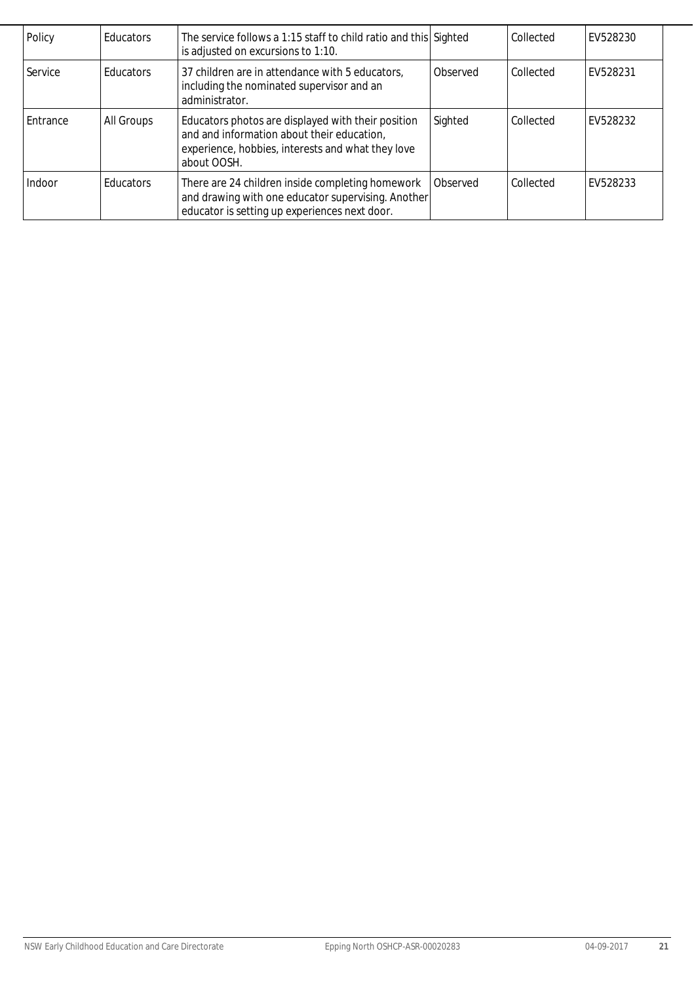| Policy   | Educators        | The service follows a 1:15 staff to child ratio and this Sighted<br>is adjusted on excursions to 1:10.                                                               |          | Collected | EV528230 |
|----------|------------------|----------------------------------------------------------------------------------------------------------------------------------------------------------------------|----------|-----------|----------|
| Service  | <b>Educators</b> | 37 children are in attendance with 5 educators,<br>including the nominated supervisor and an<br>administrator.                                                       | Observed | Collected | EV528231 |
| Entrance | All Groups       | Educators photos are displayed with their position<br>and and information about their education,<br>experience, hobbies, interests and what they love<br>about OOSH. | Sighted  | Collected | EV528232 |
| Indoor   | <b>Educators</b> | There are 24 children inside completing homework<br>and drawing with one educator supervising. Another<br>educator is setting up experiences next door.              | Observed | Collected | EV528233 |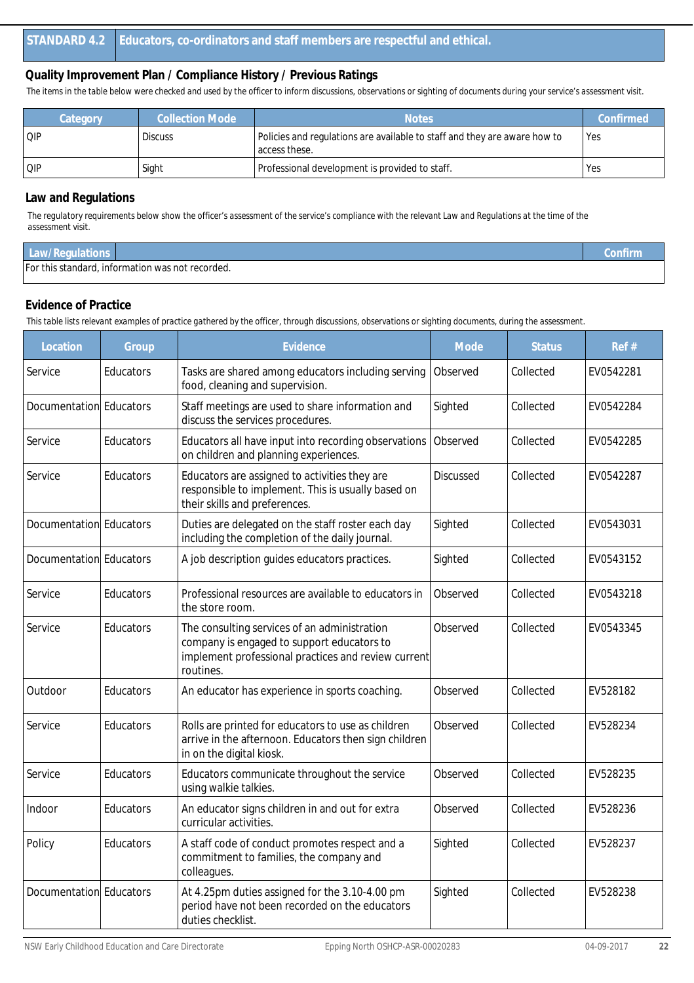*The items in the table below were checked and used by the officer to inform discussions, observations or sighting of documents during your service's assessment visit.*

| Category | Collection Mode | <b>Notes</b>                                                                               | Confirmed |
|----------|-----------------|--------------------------------------------------------------------------------------------|-----------|
| QIP      | <b>Discuss</b>  | Policies and regulations are available to staff and they are aware how to<br>access these. | l Yes     |
| QIP      | Sight           | Professional development is provided to staff.                                             | Yes       |

#### **Law and Regulations**

*The regulatory requirements below show the officer's assessment of the service's compliance with the relevant Law and Regulations at the time of the assessment visit.*

| Law/Regulations |                                                  | Confirm |
|-----------------|--------------------------------------------------|---------|
|                 | For this standard, information was not recorded. |         |

#### **Evidence of Practice**

| Location                | Group     | Evidence                                                                                                                                                       | Mode             | <b>Status</b> | Ref#      |
|-------------------------|-----------|----------------------------------------------------------------------------------------------------------------------------------------------------------------|------------------|---------------|-----------|
| Service                 | Educators | Tasks are shared among educators including serving<br>food, cleaning and supervision.                                                                          | Observed         | Collected     | EV0542281 |
| Documentation Educators |           | Staff meetings are used to share information and<br>discuss the services procedures.                                                                           | Sighted          | Collected     | EV0542284 |
| Service                 | Educators | Educators all have input into recording observations<br>on children and planning experiences.                                                                  | Observed         | Collected     | EV0542285 |
| Service                 | Educators | Educators are assigned to activities they are<br>responsible to implement. This is usually based on<br>their skills and preferences.                           | <b>Discussed</b> | Collected     | EV0542287 |
| Documentation Educators |           | Duties are delegated on the staff roster each day<br>including the completion of the daily journal.                                                            | Sighted          | Collected     | EV0543031 |
| Documentation Educators |           | A job description guides educators practices.                                                                                                                  | Sighted          | Collected     | EV0543152 |
| Service                 | Educators | Professional resources are available to educators in<br>the store room.                                                                                        | Observed         | Collected     | EV0543218 |
| Service                 | Educators | The consulting services of an administration<br>company is engaged to support educators to<br>implement professional practices and review current<br>routines. | Observed         | Collected     | EV0543345 |
| Outdoor                 | Educators | An educator has experience in sports coaching.                                                                                                                 | Observed         | Collected     | EV528182  |
| Service                 | Educators | Rolls are printed for educators to use as children<br>arrive in the afternoon. Educators then sign children<br>in on the digital kiosk.                        | Observed         | Collected     | EV528234  |
| Service                 | Educators | Educators communicate throughout the service<br>using walkie talkies.                                                                                          | Observed         | Collected     | EV528235  |
| Indoor                  | Educators | An educator signs children in and out for extra<br>curricular activities.                                                                                      | Observed         | Collected     | EV528236  |
| Policy                  | Educators | A staff code of conduct promotes respect and a<br>commitment to families, the company and<br>colleagues.                                                       | Sighted          | Collected     | EV528237  |
| Documentation Educators |           | At 4.25pm duties assigned for the 3.10-4.00 pm<br>period have not been recorded on the educators<br>duties checklist.                                          | Sighted          | Collected     | EV528238  |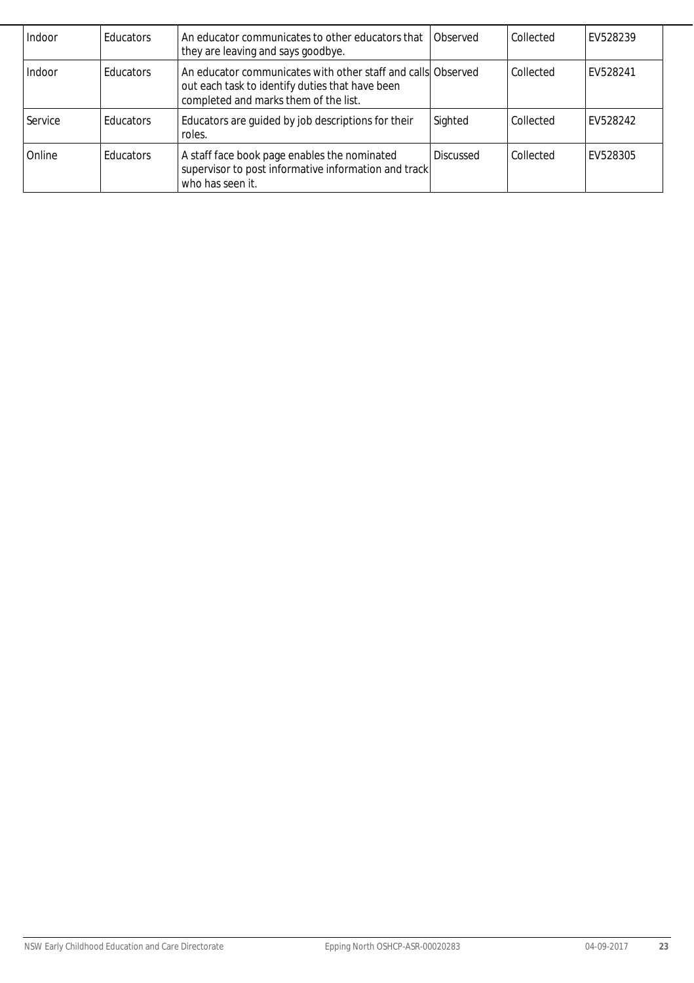| Indoor  | <b>Educators</b> | An educator communicates to other educators that<br>they are leaving and says goodbye.                                                                   | Observed         | Collected | EV528239 |
|---------|------------------|----------------------------------------------------------------------------------------------------------------------------------------------------------|------------------|-----------|----------|
| Indoor  | l Educators      | An educator communicates with other staff and calls Observed<br>out each task to identify duties that have been<br>completed and marks them of the list. |                  | Collected | EV528241 |
| Service | l Educators      | Educators are guided by job descriptions for their<br>roles.                                                                                             | Sighted          | Collected | EV528242 |
| Online  | <b>Educators</b> | A staff face book page enables the nominated<br>supervisor to post informative information and track<br>who has seen it.                                 | <b>Discussed</b> | Collected | EV528305 |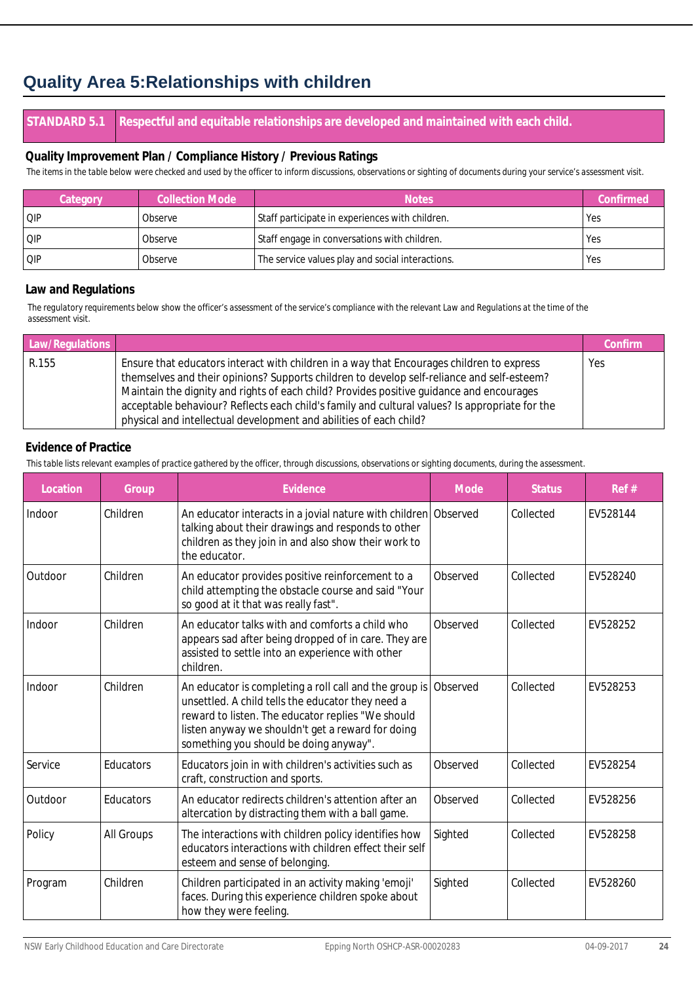## **Quality Area 5:Relationships with children**

#### **STANDARD 5.1 Respectful and equitable relationships are developed and maintained with each child.**

#### **Quality Improvement Plan / Compliance History / Previous Ratings**

*The items in the table below were checked and used by the officer to inform discussions, observations or sighting of documents during your service's assessment visit.*

| Category | <b>Collection Mode</b> | <b>Notes</b>                                     | Confirmed  |
|----------|------------------------|--------------------------------------------------|------------|
| QIP      | Observe                | Staff participate in experiences with children.  | 'Yes       |
| QIP      | Observe                | Staff engage in conversations with children.     | <b>Yes</b> |
| QIP      | Observe                | The service values play and social interactions. | 'Yes       |

#### **Law and Regulations**

*The regulatory requirements below show the officer's assessment of the service's compliance with the relevant Law and Regulations at the time of the assessment visit.*

| Law/Regulations |                                                                                                                                                                                                                                                                                                                                                                                                                                                             | Confirm |
|-----------------|-------------------------------------------------------------------------------------------------------------------------------------------------------------------------------------------------------------------------------------------------------------------------------------------------------------------------------------------------------------------------------------------------------------------------------------------------------------|---------|
| R.155           | Ensure that educators interact with children in a way that Encourages children to express<br>themselves and their opinions? Supports children to develop self-reliance and self-esteem?<br>Maintain the dignity and rights of each child? Provides positive guidance and encourages<br>acceptable behaviour? Reflects each child's family and cultural values? Is appropriate for the<br>physical and intellectual development and abilities of each child? | Yes     |

#### **Evidence of Practice**

| Location | Group      | Evidence                                                                                                                                                                                                                                                        | Mode     | <b>Status</b> | Ref #    |
|----------|------------|-----------------------------------------------------------------------------------------------------------------------------------------------------------------------------------------------------------------------------------------------------------------|----------|---------------|----------|
| Indoor   | Children   | An educator interacts in a jovial nature with children Observed<br>talking about their drawings and responds to other<br>children as they join in and also show their work to<br>the educator.                                                                  |          | Collected     | EV528144 |
| Outdoor  | Children   | An educator provides positive reinforcement to a<br>child attempting the obstacle course and said "Your<br>so good at it that was really fast".                                                                                                                 | Observed | Collected     | EV528240 |
| Indoor   | Children   | An educator talks with and comforts a child who<br>appears sad after being dropped of in care. They are<br>assisted to settle into an experience with other<br>children.                                                                                        | Observed | Collected     | EV528252 |
| Indoor   | Children   | An educator is completing a roll call and the group is<br>unsettled. A child tells the educator they need a<br>reward to listen. The educator replies "We should<br>listen anyway we shouldn't get a reward for doing<br>something you should be doing anyway". | Observed | Collected     | EV528253 |
| Service  | Educators  | Educators join in with children's activities such as<br>craft, construction and sports.                                                                                                                                                                         | Observed | Collected     | EV528254 |
| Outdoor  | Educators  | An educator redirects children's attention after an<br>altercation by distracting them with a ball game.                                                                                                                                                        | Observed | Collected     | EV528256 |
| Policy   | All Groups | The interactions with children policy identifies how<br>educators interactions with children effect their self<br>esteem and sense of belonging.                                                                                                                | Sighted  | Collected     | EV528258 |
| Program  | Children   | Children participated in an activity making 'emoji'<br>faces. During this experience children spoke about<br>how they were feeling.                                                                                                                             | Sighted  | Collected     | EV528260 |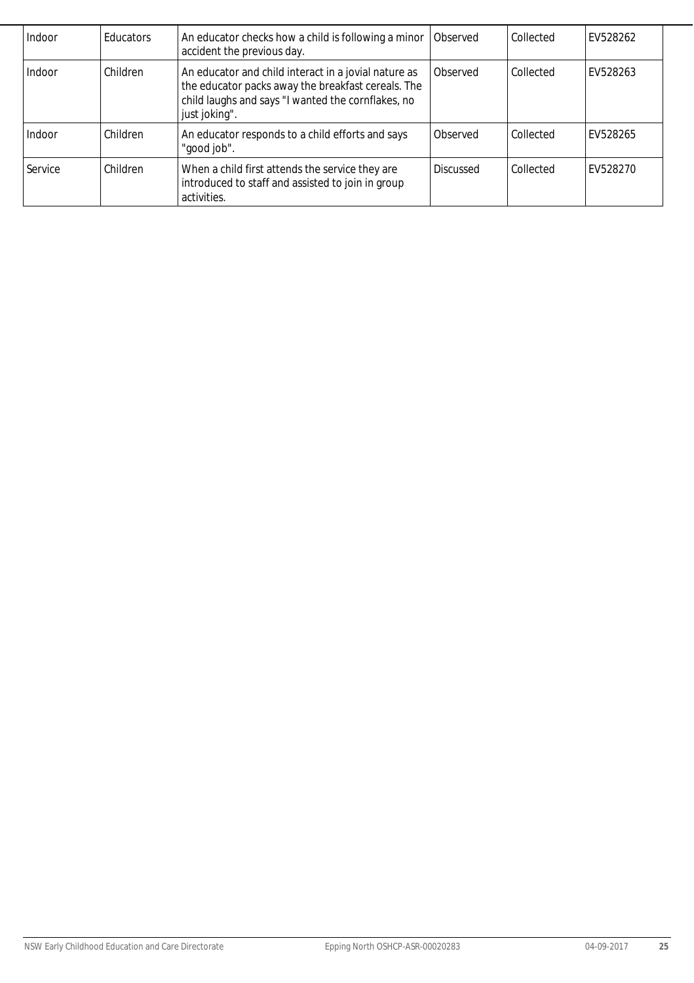| Indoor  | <b>Educators</b> | An educator checks how a child is following a minor<br>accident the previous day.                                                                                                 | Observed         | Collected | EV528262 |
|---------|------------------|-----------------------------------------------------------------------------------------------------------------------------------------------------------------------------------|------------------|-----------|----------|
| Indoor  | Children         | An educator and child interact in a jovial nature as<br>the educator packs away the breakfast cereals. The<br>child laughs and says "I wanted the cornflakes, no<br>just joking". | Observed         | Collected | EV528263 |
| Indoor  | Children         | An educator responds to a child efforts and says<br>"good job".                                                                                                                   | Observed         | Collected | EV528265 |
| Service | Children         | When a child first attends the service they are<br>introduced to staff and assisted to join in group<br>activities.                                                               | <b>Discussed</b> | Collected | FV528270 |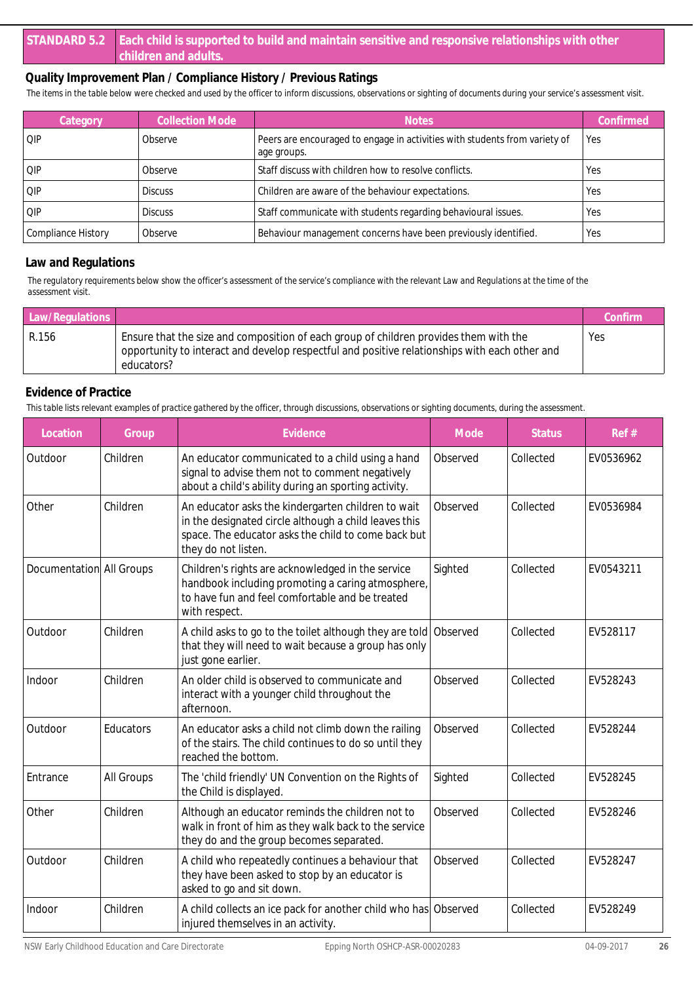*The items in the table below were checked and used by the officer to inform discussions, observations or sighting of documents during your service's assessment visit.*

| Category           | <b>Collection Mode</b> | <b>Notes</b>                                                                              | Confirmed  |
|--------------------|------------------------|-------------------------------------------------------------------------------------------|------------|
| <b>OIP</b>         | Observe                | Peers are encouraged to engage in activities with students from variety of<br>age groups. | Yes        |
| l QIP              | Observe                | Staff discuss with children how to resolve conflicts.                                     | <b>Yes</b> |
| IOP                | <b>Discuss</b>         | Children are aware of the behaviour expectations.                                         | Yes        |
| <b>OIP</b>         | <b>Discuss</b>         | Staff communicate with students regarding behavioural issues.                             | Yes        |
| Compliance History | Observe                | Behaviour management concerns have been previously identified.                            | Yes        |

#### **Law and Regulations**

*The regulatory requirements below show the officer's assessment of the service's compliance with the relevant Law and Regulations at the time of the assessment visit.*

| Law/Regulations |                                                                                                                                                                                                      | Confirm |
|-----------------|------------------------------------------------------------------------------------------------------------------------------------------------------------------------------------------------------|---------|
| R.156           | Ensure that the size and composition of each group of children provides them with the<br>opportunity to interact and develop respectful and positive relationships with each other and<br>educators? | Yes     |

#### **Evidence of Practice**

| Location                 | Group      | Evidence                                                                                                                                                                                  | Mode     | <b>Status</b> | Ref#      |
|--------------------------|------------|-------------------------------------------------------------------------------------------------------------------------------------------------------------------------------------------|----------|---------------|-----------|
| Outdoor                  | Children   | An educator communicated to a child using a hand<br>signal to advise them not to comment negatively<br>about a child's ability during an sporting activity.                               | Observed | Collected     | EV0536962 |
| Other                    | Children   | An educator asks the kindergarten children to wait<br>in the designated circle although a child leaves this<br>space. The educator asks the child to come back but<br>they do not listen. | Observed | Collected     | EV0536984 |
| Documentation All Groups |            | Children's rights are acknowledged in the service<br>handbook including promoting a caring atmosphere,<br>to have fun and feel comfortable and be treated<br>with respect.                | Sighted  | Collected     | EV0543211 |
| Outdoor                  | Children   | A child asks to go to the toilet although they are told<br>that they will need to wait because a group has only<br>just gone earlier.                                                     | Observed | Collected     | EV528117  |
| Indoor                   | Children   | An older child is observed to communicate and<br>interact with a younger child throughout the<br>afternoon.                                                                               | Observed | Collected     | EV528243  |
| Outdoor                  | Educators  | An educator asks a child not climb down the railing<br>of the stairs. The child continues to do so until they<br>reached the bottom.                                                      | Observed | Collected     | EV528244  |
| Entrance                 | All Groups | The 'child friendly' UN Convention on the Rights of<br>the Child is displayed.                                                                                                            | Sighted  | Collected     | EV528245  |
| Other                    | Children   | Although an educator reminds the children not to<br>walk in front of him as they walk back to the service<br>they do and the group becomes separated.                                     | Observed | Collected     | EV528246  |
| Outdoor                  | Children   | A child who repeatedly continues a behaviour that<br>they have been asked to stop by an educator is<br>asked to go and sit down.                                                          | Observed | Collected     | EV528247  |
| Indoor                   | Children   | A child collects an ice pack for another child who has Observed<br>injured themselves in an activity.                                                                                     |          | Collected     | EV528249  |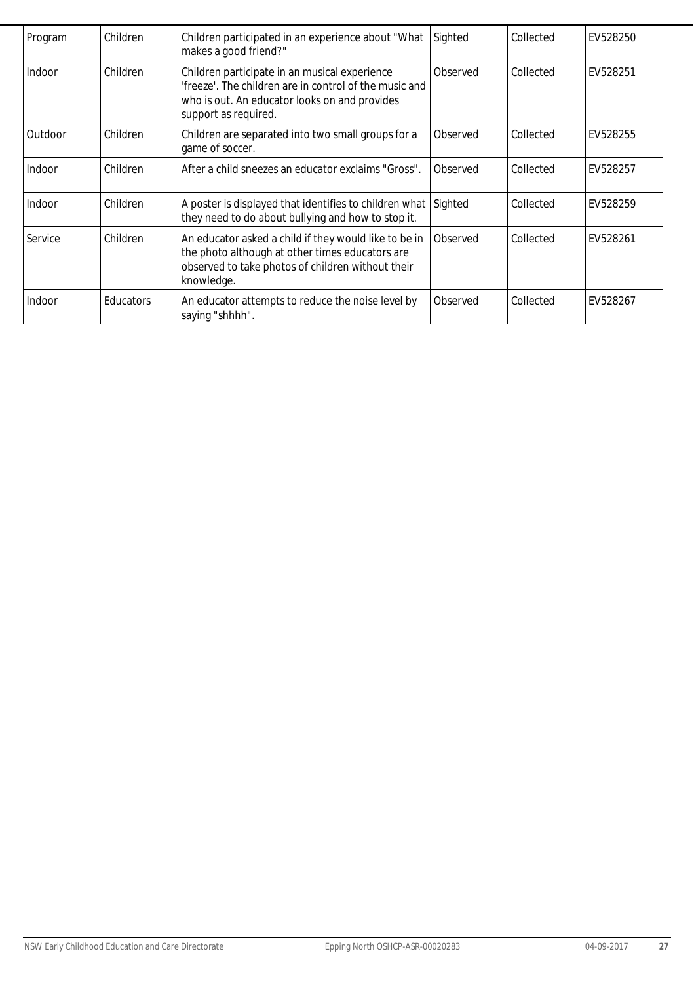| Program | Children  | Children participated in an experience about "What<br>makes a good friend?"                                                                                                      | Sighted  | Collected | EV528250 |
|---------|-----------|----------------------------------------------------------------------------------------------------------------------------------------------------------------------------------|----------|-----------|----------|
| Indoor  | Children  | Children participate in an musical experience<br>'freeze'. The children are in control of the music and<br>who is out. An educator looks on and provides<br>support as required. | Observed | Collected | EV528251 |
| Outdoor | Children  | Children are separated into two small groups for a<br>game of soccer.                                                                                                            | Observed | Collected | EV528255 |
| Indoor  | Children  | After a child sneezes an educator exclaims "Gross".                                                                                                                              | Observed | Collected | EV528257 |
| Indoor  | Children  | A poster is displayed that identifies to children what<br>they need to do about bullying and how to stop it.                                                                     | Sighted  | Collected | EV528259 |
| Service | Children  | An educator asked a child if they would like to be in<br>the photo although at other times educators are<br>observed to take photos of children without their<br>knowledge.      | Observed | Collected | EV528261 |
| Indoor  | Educators | An educator attempts to reduce the noise level by<br>saying "shhhh".                                                                                                             | Observed | Collected | EV528267 |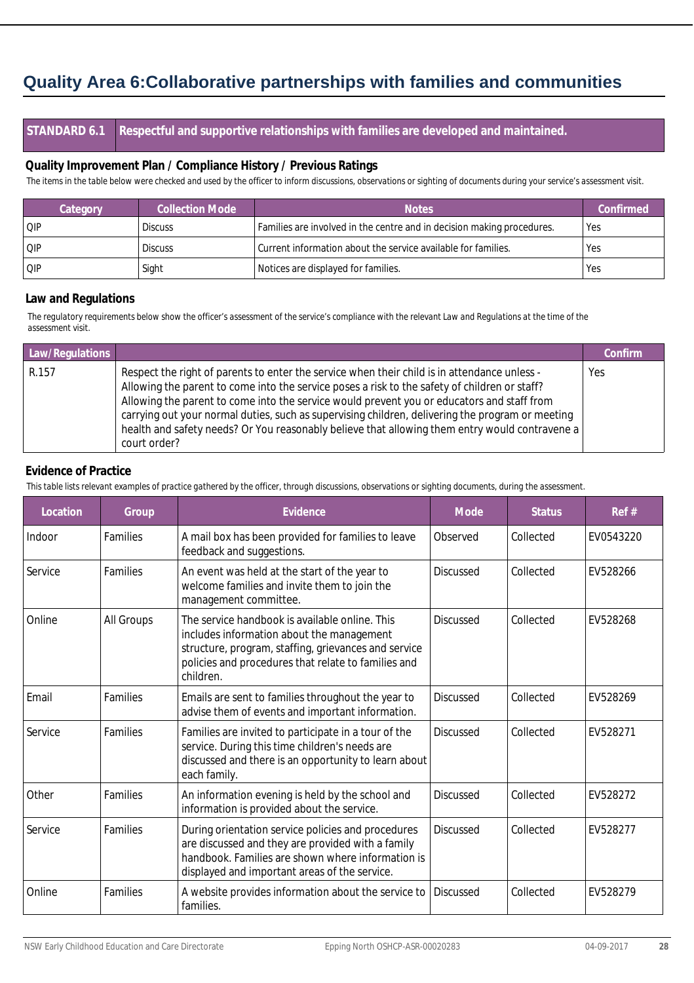## **Quality Area 6:Collaborative partnerships with families and communities**

**STANDARD 6.1 Respectful and supportive relationships with families are developed and maintained.**

#### **Quality Improvement Plan / Compliance History / Previous Ratings**

*The items in the table below were checked and used by the officer to inform discussions, observations or sighting of documents during your service's assessment visit.*

| Category   | <b>Collection Mode</b> | <b>Notes</b>                                                           | Confirmed |
|------------|------------------------|------------------------------------------------------------------------|-----------|
| QIP        | <b>Discuss</b>         | Families are involved in the centre and in decision making procedures. | Yes       |
| QIP        | <b>Discuss</b>         | Current information about the service available for families.          | Yes       |
| <b>QIP</b> | Sight                  | Notices are displayed for families.                                    | Yes       |

#### **Law and Regulations**

*The regulatory requirements below show the officer's assessment of the service's compliance with the relevant Law and Regulations at the time of the assessment visit.*

| Law/Regulations |                                                                                                                                                                                                                                                                                                                                                                                                                                                                                                                   | Confirm |
|-----------------|-------------------------------------------------------------------------------------------------------------------------------------------------------------------------------------------------------------------------------------------------------------------------------------------------------------------------------------------------------------------------------------------------------------------------------------------------------------------------------------------------------------------|---------|
| R.157           | Respect the right of parents to enter the service when their child is in attendance unless -<br>Allowing the parent to come into the service poses a risk to the safety of children or staff?<br>Allowing the parent to come into the service would prevent you or educators and staff from<br>carrying out your normal duties, such as supervising children, delivering the program or meeting<br>health and safety needs? Or You reasonably believe that allowing them entry would contravene a<br>court order? | Yes     |

#### **Evidence of Practice**

| Location | Group           | Evidence                                                                                                                                                                                                                | Mode             | <b>Status</b> | Ref#      |
|----------|-----------------|-------------------------------------------------------------------------------------------------------------------------------------------------------------------------------------------------------------------------|------------------|---------------|-----------|
| Indoor   | <b>Families</b> | A mail box has been provided for families to leave<br>feedback and suggestions.                                                                                                                                         | Observed         | Collected     | EV0543220 |
| Service  | <b>Families</b> | An event was held at the start of the year to<br>welcome families and invite them to join the<br>management committee.                                                                                                  | <b>Discussed</b> | Collected     | EV528266  |
| Online   | All Groups      | The service handbook is available online. This<br>includes information about the management<br>structure, program, staffing, grievances and service<br>policies and procedures that relate to families and<br>children. | Discussed        | Collected     | EV528268  |
| Email    | <b>Families</b> | Emails are sent to families throughout the year to<br>advise them of events and important information.                                                                                                                  | Discussed        | Collected     | EV528269  |
| Service  | Families        | Families are invited to participate in a tour of the<br>service. During this time children's needs are<br>discussed and there is an opportunity to learn about<br>each family.                                          | <b>Discussed</b> | Collected     | EV528271  |
| Other    | Families        | An information evening is held by the school and<br>information is provided about the service.                                                                                                                          | <b>Discussed</b> | Collected     | EV528272  |
| Service  | <b>Families</b> | During orientation service policies and procedures<br>are discussed and they are provided with a family<br>handbook. Families are shown where information is<br>displayed and important areas of the service.           | <b>Discussed</b> | Collected     | EV528277  |
| Online   | Families        | A website provides information about the service to<br>families.                                                                                                                                                        | <b>Discussed</b> | Collected     | EV528279  |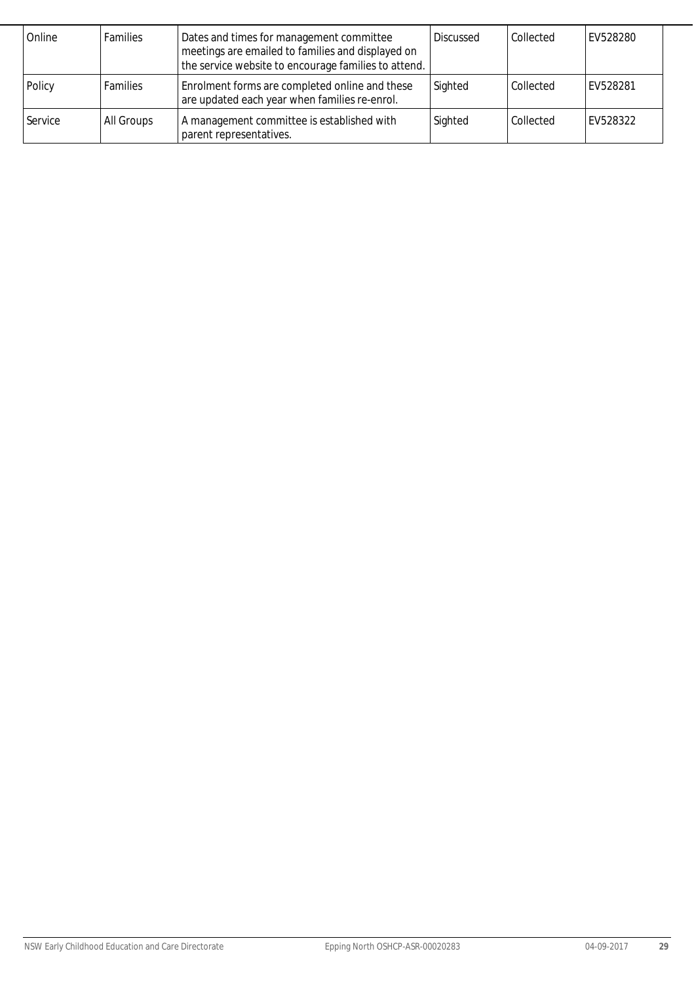| Online  | <b>Families</b> | Dates and times for management committee<br>meetings are emailed to families and displayed on<br>the service website to encourage families to attend. | <b>Discussed</b> | Collected | EV528280 |
|---------|-----------------|-------------------------------------------------------------------------------------------------------------------------------------------------------|------------------|-----------|----------|
| Policy  | <b>Families</b> | Enrolment forms are completed online and these<br>are updated each year when families re-enrol.                                                       | Sighted          | Collected | EV528281 |
| Service | All Groups      | A management committee is established with<br>parent representatives.                                                                                 | Sighted          | Collected | EV528322 |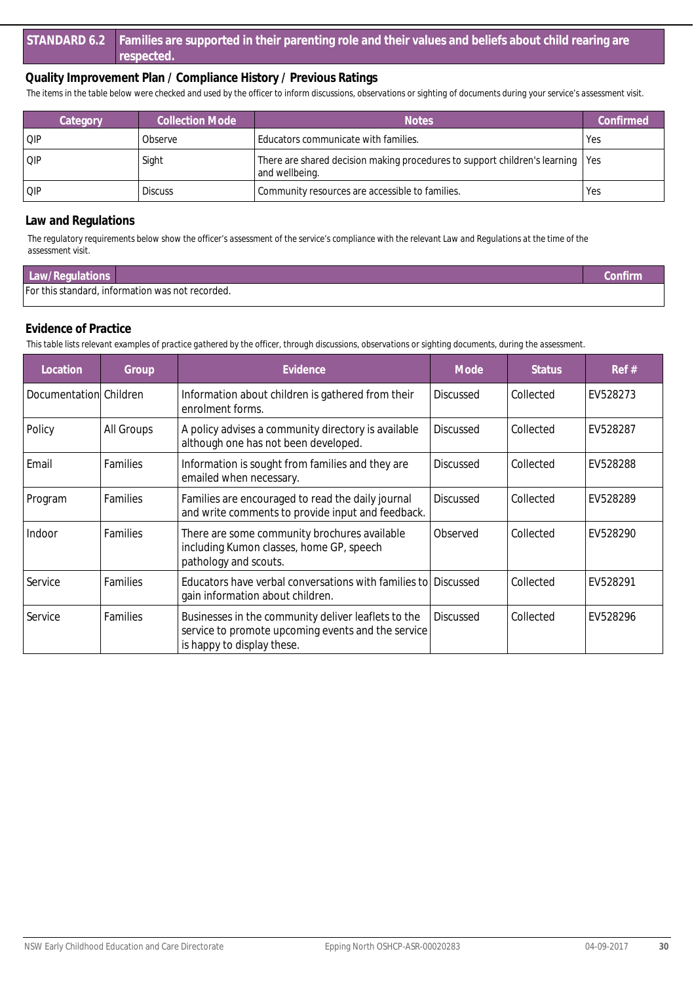*The items in the table below were checked and used by the officer to inform discussions, observations or sighting of documents during your service's assessment visit.*

| Category | Collection Mode | <b>Notes</b>                                                                                     | Confirmed |
|----------|-----------------|--------------------------------------------------------------------------------------------------|-----------|
| l Qip    | Observe         | Educators communicate with families.                                                             | Yes       |
| QIP      | Sight           | There are shared decision making procedures to support children's learning Yes<br>and wellbeing. |           |
| l QIP    | <b>Discuss</b>  | Community resources are accessible to families.                                                  | Yes       |

#### **Law and Regulations**

*The regulatory requirements below show the officer's assessment of the service's compliance with the relevant Law and Regulations at the time of the assessment visit.*

| Law/Regulations |                                                  | <b>onfirm</b> |
|-----------------|--------------------------------------------------|---------------|
|                 | For this standard, information was not recorded. |               |

#### **Evidence of Practice**

| Location               | Group           | Evidence                                                                                                                                | Mode             | <b>Status</b> | Ref#     |
|------------------------|-----------------|-----------------------------------------------------------------------------------------------------------------------------------------|------------------|---------------|----------|
| Documentation Children |                 | Information about children is gathered from their<br>enrolment forms.                                                                   | <b>Discussed</b> | Collected     | EV528273 |
| Policy                 | All Groups      | A policy advises a community directory is available<br>although one has not been developed.                                             | <b>Discussed</b> | Collected     | EV528287 |
| Email                  | Families        | Information is sought from families and they are<br>emailed when necessary.                                                             | <b>Discussed</b> | Collected     | EV528288 |
| Program                | Families        | Families are encouraged to read the daily journal<br>and write comments to provide input and feedback.                                  | <b>Discussed</b> | Collected     | EV528289 |
| Indoor                 | <b>Families</b> | There are some community brochures available<br>including Kumon classes, home GP, speech<br>pathology and scouts.                       | Observed         | Collected     | EV528290 |
| Service                | Families        | Educators have verbal conversations with families to Discussed<br>gain information about children.                                      |                  | Collected     | EV528291 |
| Service                | Families        | Businesses in the community deliver leaflets to the<br>service to promote upcoming events and the service<br>is happy to display these. | <b>Discussed</b> | Collected     | EV528296 |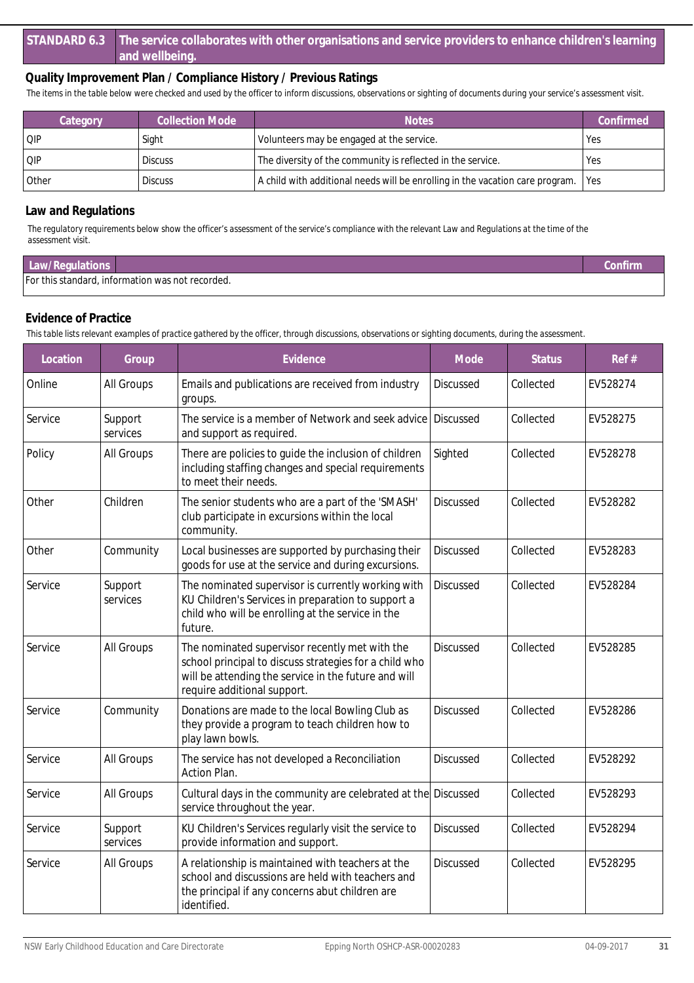*The items in the table below were checked and used by the officer to inform discussions, observations or sighting of documents during your service's assessment visit.*

| Category | <b>Collection Mode</b> | <b>Notes</b>                                                                        | Confirmed  |
|----------|------------------------|-------------------------------------------------------------------------------------|------------|
| QIP      | Sight                  | Volunteers may be engaged at the service.                                           | <b>Yes</b> |
| QIP      | <b>Discuss</b>         | The diversity of the community is reflected in the service.                         | <b>Yes</b> |
| Other    | <b>Discuss</b>         | A child with additional needs will be enrolling in the vacation care program.   Yes |            |

#### **Law and Regulations**

*The regulatory requirements below show the officer's assessment of the service's compliance with the relevant Law and Regulations at the time of the assessment visit.*

| Law/Regulations                                  |  |
|--------------------------------------------------|--|
| For this standard, information was not recorded. |  |

#### **Evidence of Practice**

| Location | Group               | Evidence                                                                                                                                                                                        | Mode             | <b>Status</b> | Ref#     |
|----------|---------------------|-------------------------------------------------------------------------------------------------------------------------------------------------------------------------------------------------|------------------|---------------|----------|
| Online   | All Groups          | Emails and publications are received from industry<br>groups.                                                                                                                                   | <b>Discussed</b> | Collected     | EV528274 |
| Service  | Support<br>services | The service is a member of Network and seek advice<br>and support as required.                                                                                                                  | Discussed        | Collected     | EV528275 |
| Policy   | All Groups          | There are policies to guide the inclusion of children<br>including staffing changes and special requirements<br>to meet their needs.                                                            | Sighted          | Collected     | EV528278 |
| Other    | Children            | The senior students who are a part of the 'SMASH'<br>club participate in excursions within the local<br>community.                                                                              | <b>Discussed</b> | Collected     | EV528282 |
| Other    | Community           | Local businesses are supported by purchasing their<br>goods for use at the service and during excursions.                                                                                       | <b>Discussed</b> | Collected     | EV528283 |
| Service  | Support<br>services | The nominated supervisor is currently working with<br>KU Children's Services in preparation to support a<br>child who will be enrolling at the service in the<br>future.                        | <b>Discussed</b> | Collected     | EV528284 |
| Service  | All Groups          | The nominated supervisor recently met with the<br>school principal to discuss strategies for a child who<br>will be attending the service in the future and will<br>require additional support. | <b>Discussed</b> | Collected     | EV528285 |
| Service  | Community           | Donations are made to the local Bowling Club as<br>they provide a program to teach children how to<br>play lawn bowls.                                                                          | <b>Discussed</b> | Collected     | EV528286 |
| Service  | All Groups          | The service has not developed a Reconciliation<br>Action Plan.                                                                                                                                  | <b>Discussed</b> | Collected     | EV528292 |
| Service  | All Groups          | Cultural days in the community are celebrated at the Discussed<br>service throughout the year.                                                                                                  |                  | Collected     | EV528293 |
| Service  | Support<br>services | KU Children's Services regularly visit the service to<br>provide information and support.                                                                                                       | <b>Discussed</b> | Collected     | EV528294 |
| Service  | All Groups          | A relationship is maintained with teachers at the<br>school and discussions are held with teachers and<br>the principal if any concerns abut children are<br>identified.                        | <b>Discussed</b> | Collected     | EV528295 |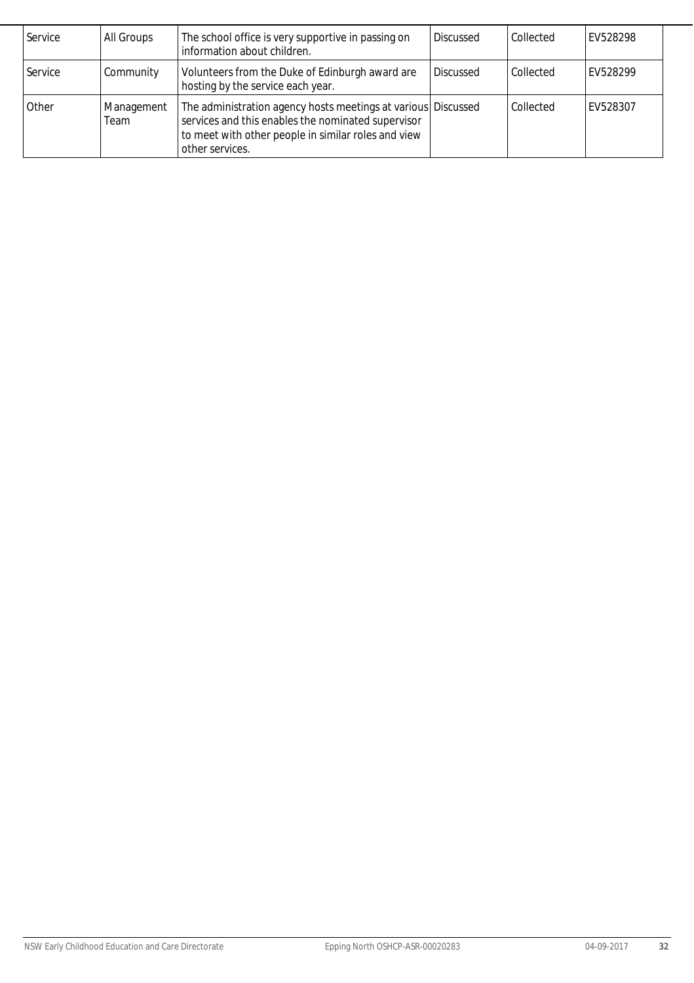| Service | All Groups         | The school office is very supportive in passing on<br>information about children.                                                                                                             | <b>Discussed</b> | Collected | FV528298 |
|---------|--------------------|-----------------------------------------------------------------------------------------------------------------------------------------------------------------------------------------------|------------------|-----------|----------|
| Service | Community          | Volunteers from the Duke of Edinburgh award are<br>hosting by the service each year.                                                                                                          | <b>Discussed</b> | Collected | FV528299 |
| Other   | Management<br>Team | The administration agency hosts meetings at various Discussed<br>services and this enables the nominated supervisor<br>to meet with other people in similar roles and view<br>other services. |                  | Collected | EV528307 |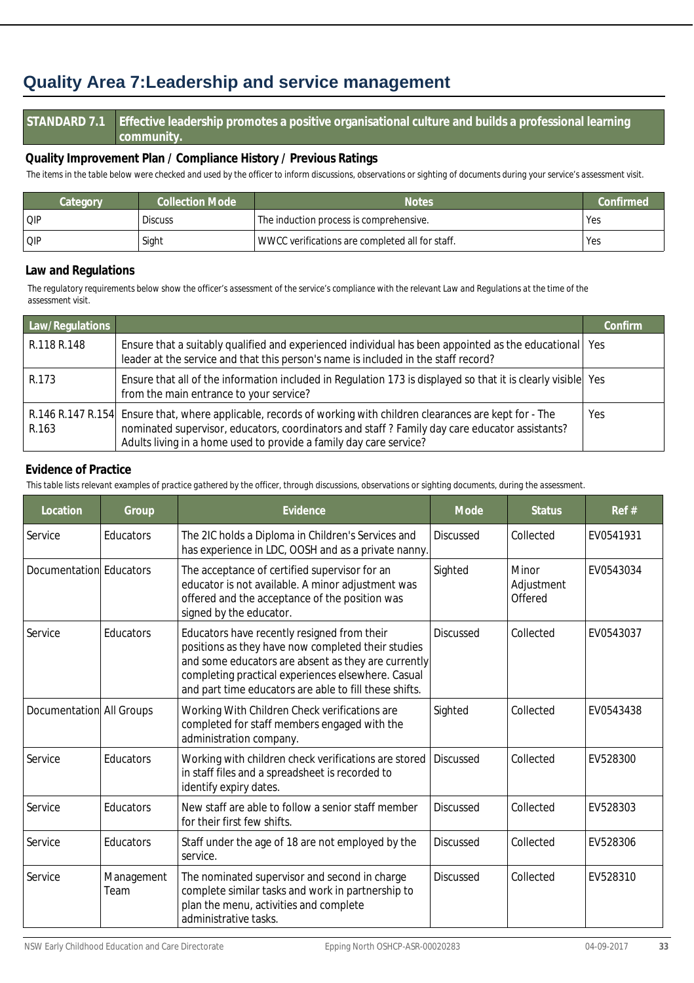## **Quality Area 7:Leadership and service management**

#### **STANDARD 7.1 Effective leadership promotes a positive organisational culture and builds a professional learning community.**

#### **Quality Improvement Plan / Compliance History / Previous Ratings**

*The items in the table below were checked and used by the officer to inform discussions, observations or sighting of documents during your service's assessment visit.*

| <b>Collection Mode</b><br>Category |                | <b>Notes</b>                                    | Confirmed <sup>1</sup> |
|------------------------------------|----------------|-------------------------------------------------|------------------------|
| l QIP                              | <b>Discuss</b> | The induction process is comprehensive.         | <b>Yes</b>             |
| Q P                                | Sight          | WWCC verifications are completed all for staff. | Yes                    |

#### **Law and Regulations**

*The regulatory requirements below show the officer's assessment of the service's compliance with the relevant Law and Regulations at the time of the assessment visit.*

| Law/Regulations            |                                                                                                                                                                                                                                                                      | Confirm |
|----------------------------|----------------------------------------------------------------------------------------------------------------------------------------------------------------------------------------------------------------------------------------------------------------------|---------|
| R.118 R.148                | Ensure that a suitably qualified and experienced individual has been appointed as the educational   Yes<br>leader at the service and that this person's name is included in the staff record?                                                                        |         |
| R.173                      | Ensure that all of the information included in Regulation 173 is displayed so that it is clearly visible Yes<br>from the main entrance to your service?                                                                                                              |         |
| R.146 R.147 R.154<br>R.163 | Ensure that, where applicable, records of working with children clearances are kept for - The<br>nominated supervisor, educators, coordinators and staff? Family day care educator assistants?<br>Adults living in a home used to provide a family day care service? | Yes     |

#### **Evidence of Practice**

| Location                 | Group              | Evidence                                                                                                                                                                                                                                                                 | Mode             | <b>Status</b>                  | Ref#      |
|--------------------------|--------------------|--------------------------------------------------------------------------------------------------------------------------------------------------------------------------------------------------------------------------------------------------------------------------|------------------|--------------------------------|-----------|
| Service                  | Educators          | The 2IC holds a Diploma in Children's Services and<br>has experience in LDC, OOSH and as a private nanny.                                                                                                                                                                | <b>Discussed</b> | Collected                      | EV0541931 |
| Documentation Educators  |                    | The acceptance of certified supervisor for an<br>educator is not available. A minor adjustment was<br>offered and the acceptance of the position was<br>signed by the educator.                                                                                          | Sighted          | Minor<br>Adjustment<br>Offered | EV0543034 |
| Service                  | Educators          | Educators have recently resigned from their<br>positions as they have now completed their studies<br>and some educators are absent as they are currently<br>completing practical experiences elsewhere. Casual<br>and part time educators are able to fill these shifts. | <b>Discussed</b> | Collected                      | EV0543037 |
| Documentation All Groups |                    | Working With Children Check verifications are<br>completed for staff members engaged with the<br>administration company.                                                                                                                                                 | Sighted          | Collected                      | EV0543438 |
| Service                  | Educators          | Working with children check verifications are stored<br>in staff files and a spreadsheet is recorded to<br>identify expiry dates.                                                                                                                                        | <b>Discussed</b> | Collected                      | EV528300  |
| Service                  | Educators          | New staff are able to follow a senior staff member<br>for their first few shifts.                                                                                                                                                                                        | <b>Discussed</b> | Collected                      | EV528303  |
| Service                  | Educators          | Staff under the age of 18 are not employed by the<br>service.                                                                                                                                                                                                            | <b>Discussed</b> | Collected                      | EV528306  |
| Service                  | Management<br>Team | The nominated supervisor and second in charge<br>complete similar tasks and work in partnership to<br>plan the menu, activities and complete<br>administrative tasks.                                                                                                    | <b>Discussed</b> | Collected                      | EV528310  |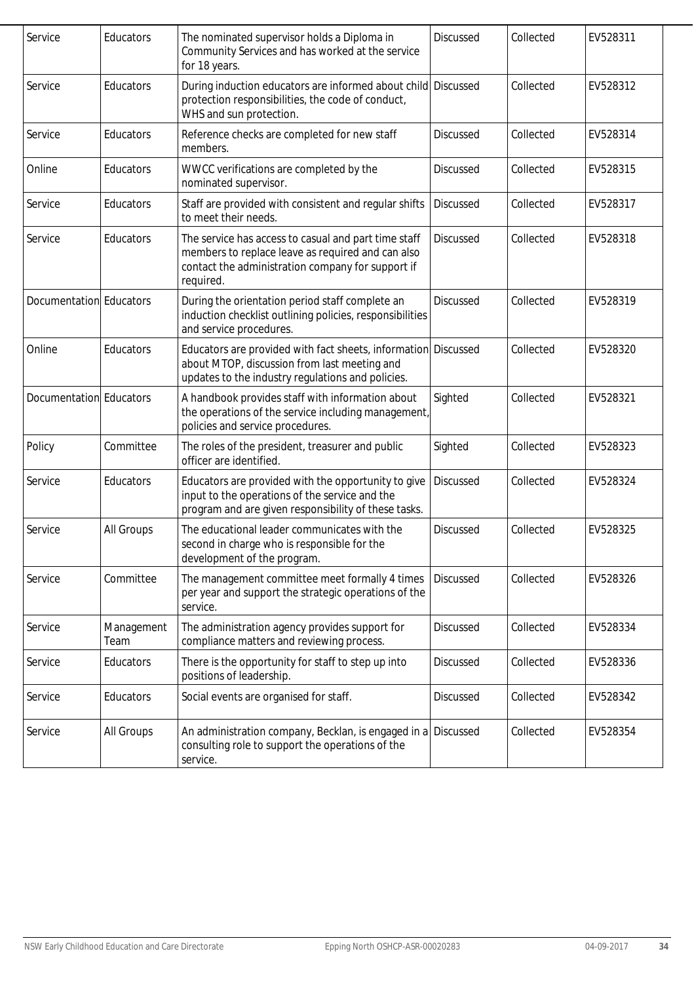| Service                 | Educators          | The nominated supervisor holds a Diploma in<br>Community Services and has worked at the service<br>for 18 years.                                                            | <b>Discussed</b> | Collected | EV528311 |
|-------------------------|--------------------|-----------------------------------------------------------------------------------------------------------------------------------------------------------------------------|------------------|-----------|----------|
| Service                 | Educators          | During induction educators are informed about child Discussed<br>protection responsibilities, the code of conduct,<br>WHS and sun protection.                               |                  | Collected | EV528312 |
| Service                 | Educators          | Reference checks are completed for new staff<br>members.                                                                                                                    | <b>Discussed</b> | Collected | EV528314 |
| Online                  | Educators          | WWCC verifications are completed by the<br>nominated supervisor.                                                                                                            | Discussed        | Collected | EV528315 |
| Service                 | Educators          | Staff are provided with consistent and regular shifts<br>to meet their needs.                                                                                               | Discussed        | Collected | EV528317 |
| Service                 | Educators          | The service has access to casual and part time staff<br>members to replace leave as required and can also<br>contact the administration company for support if<br>required. | Discussed        | Collected | EV528318 |
| Documentation Educators |                    | During the orientation period staff complete an<br>induction checklist outlining policies, responsibilities<br>and service procedures.                                      | <b>Discussed</b> | Collected | EV528319 |
| Online                  | Educators          | Educators are provided with fact sheets, information Discussed<br>about MTOP, discussion from last meeting and<br>updates to the industry regulations and policies.         |                  | Collected | EV528320 |
| Documentation Educators |                    | A handbook provides staff with information about<br>the operations of the service including management,<br>policies and service procedures.                                 | Sighted          | Collected | EV528321 |
| Policy                  | Committee          | The roles of the president, treasurer and public<br>officer are identified.                                                                                                 | Sighted          | Collected | EV528323 |
| Service                 | Educators          | Educators are provided with the opportunity to give<br>input to the operations of the service and the<br>program and are given responsibility of these tasks.               | <b>Discussed</b> | Collected | EV528324 |
| Service                 | All Groups         | The educational leader communicates with the<br>second in charge who is responsible for the<br>development of the program.                                                  | Discussed        | Collected | EV528325 |
| Service                 | Committee          | The management committee meet formally 4 times<br>per year and support the strategic operations of the<br>service.                                                          | <b>Discussed</b> | Collected | EV528326 |
| Service                 | Management<br>Team | The administration agency provides support for<br>compliance matters and reviewing process.                                                                                 | Discussed        | Collected | EV528334 |
| Service                 | Educators          | There is the opportunity for staff to step up into<br>positions of leadership.                                                                                              | Discussed        | Collected | EV528336 |
| Service                 | Educators          | Social events are organised for staff.                                                                                                                                      | Discussed        | Collected | EV528342 |
| Service                 | All Groups         | An administration company, Becklan, is engaged in a<br>consulting role to support the operations of the<br>service.                                                         | <b>Discussed</b> | Collected | EV528354 |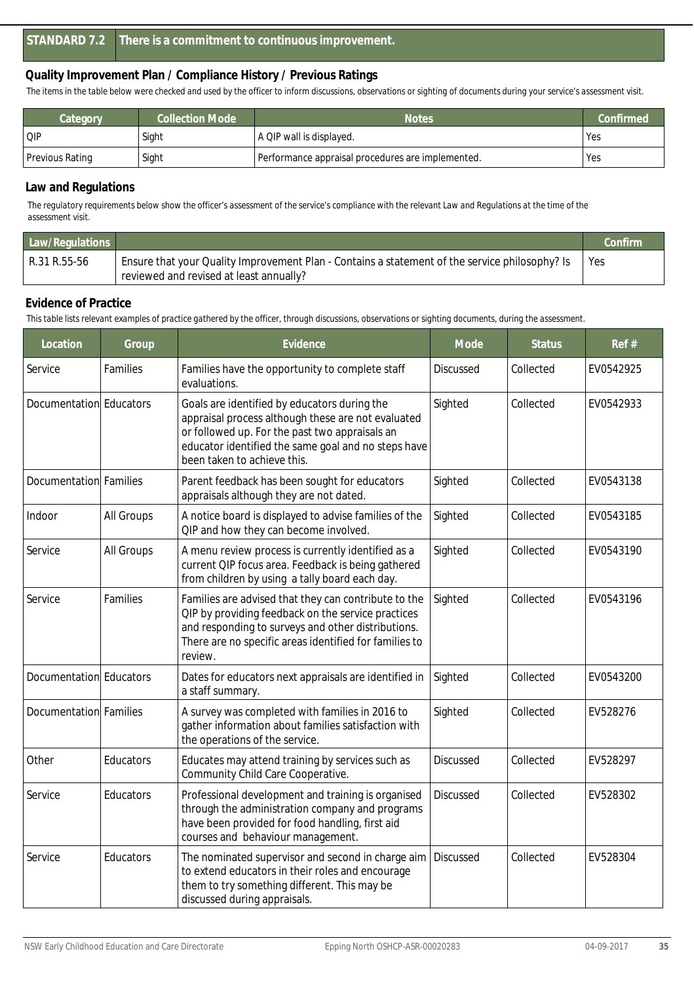*The items in the table below were checked and used by the officer to inform discussions, observations or sighting of documents during your service's assessment visit.*

| Category        | <b>Collection Mode</b> | <b>Notes</b>                                      | Confirmed |
|-----------------|------------------------|---------------------------------------------------|-----------|
| QIP             | Sight                  | A QIP wall is displayed.                          | Yes       |
| Previous Rating | Sight                  | Performance appraisal procedures are implemented. | Yes       |

#### **Law and Regulations**

*The regulatory requirements below show the officer's assessment of the service's compliance with the relevant Law and Regulations at the time of the assessment visit.*

| Law/Regulations |                                                                                                                                           | Confirm |
|-----------------|-------------------------------------------------------------------------------------------------------------------------------------------|---------|
| R.31 R.55-56    | Ensure that your Quality Improvement Plan - Contains a statement of the service philosophy? Is<br>reviewed and revised at least annually? | l Yes   |

#### **Evidence of Practice**

| Location                | Group      | Evidence                                                                                                                                                                                                                                   | Mode             | <b>Status</b> | Ref#      |
|-------------------------|------------|--------------------------------------------------------------------------------------------------------------------------------------------------------------------------------------------------------------------------------------------|------------------|---------------|-----------|
| Service                 | Families   | Families have the opportunity to complete staff<br>evaluations.                                                                                                                                                                            | Discussed        | Collected     | EV0542925 |
| Documentation Educators |            | Goals are identified by educators during the<br>appraisal process although these are not evaluated<br>or followed up. For the past two appraisals an<br>educator identified the same goal and no steps have<br>been taken to achieve this. | Sighted          | Collected     | EV0542933 |
| Documentation Families  |            | Parent feedback has been sought for educators<br>appraisals although they are not dated.                                                                                                                                                   | Sighted          | Collected     | EV0543138 |
| Indoor                  | All Groups | A notice board is displayed to advise families of the<br>QIP and how they can become involved.                                                                                                                                             | Sighted          | Collected     | EV0543185 |
| Service                 | All Groups | A menu review process is currently identified as a<br>current QIP focus area. Feedback is being gathered<br>from children by using a tally board each day.                                                                                 | Sighted          | Collected     | EV0543190 |
| Service                 | Families   | Families are advised that they can contribute to the<br>QIP by providing feedback on the service practices<br>and responding to surveys and other distributions.<br>There are no specific areas identified for families to<br>review.      | Sighted          | Collected     | EV0543196 |
| Documentation Educators |            | Dates for educators next appraisals are identified in<br>a staff summary.                                                                                                                                                                  | Sighted          | Collected     | EV0543200 |
| Documentation Families  |            | A survey was completed with families in 2016 to<br>gather information about families satisfaction with<br>the operations of the service.                                                                                                   | Sighted          | Collected     | EV528276  |
| Other                   | Educators  | Educates may attend training by services such as<br>Community Child Care Cooperative.                                                                                                                                                      | <b>Discussed</b> | Collected     | EV528297  |
| Service                 | Educators  | Professional development and training is organised<br>through the administration company and programs<br>have been provided for food handling, first aid<br>courses and behaviour management.                                              | <b>Discussed</b> | Collected     | EV528302  |
| Service                 | Educators  | The nominated supervisor and second in charge aim<br>to extend educators in their roles and encourage<br>them to try something different. This may be<br>discussed during appraisals.                                                      | <b>Discussed</b> | Collected     | EV528304  |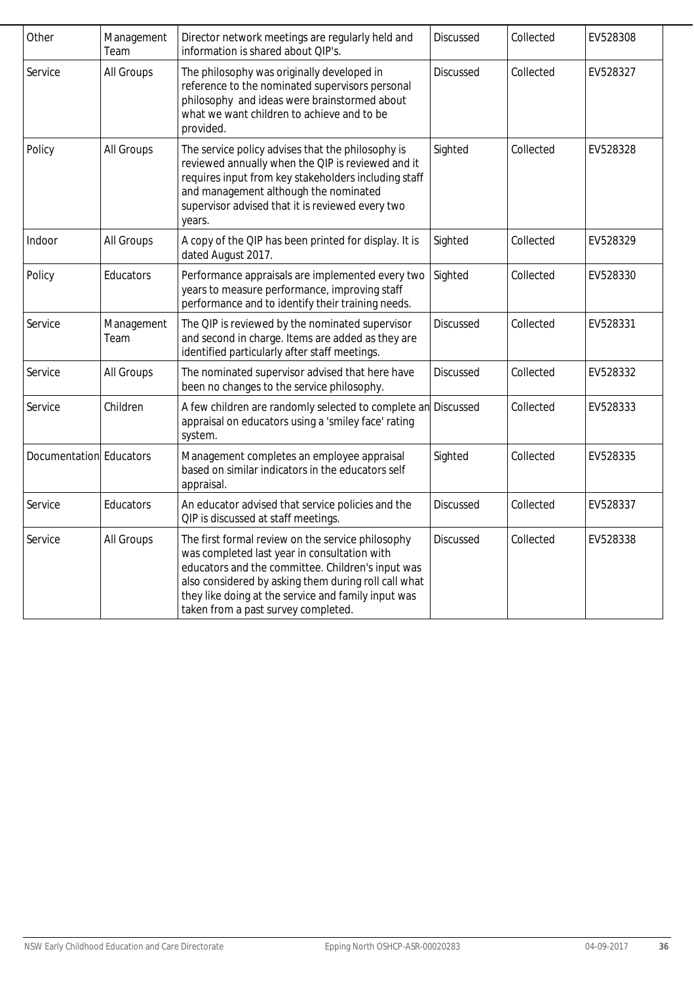| Other                   | Management<br>Team | Director network meetings are regularly held and<br>information is shared about QIP's.                                                                                                                                                                                                                       | <b>Discussed</b> | Collected | EV528308 |
|-------------------------|--------------------|--------------------------------------------------------------------------------------------------------------------------------------------------------------------------------------------------------------------------------------------------------------------------------------------------------------|------------------|-----------|----------|
| Service                 | All Groups         | The philosophy was originally developed in<br>reference to the nominated supervisors personal<br>philosophy and ideas were brainstormed about<br>what we want children to achieve and to be<br>provided.                                                                                                     | <b>Discussed</b> | Collected | EV528327 |
| Policy                  | All Groups         | The service policy advises that the philosophy is<br>reviewed annually when the QIP is reviewed and it<br>requires input from key stakeholders including staff<br>and management although the nominated<br>supervisor advised that it is reviewed every two<br>years.                                        | Sighted          | Collected | EV528328 |
| Indoor                  | All Groups         | A copy of the QIP has been printed for display. It is<br>dated August 2017.                                                                                                                                                                                                                                  | Sighted          | Collected | EV528329 |
| Policy                  | Educators          | Performance appraisals are implemented every two<br>years to measure performance, improving staff<br>performance and to identify their training needs.                                                                                                                                                       | Sighted          | Collected | EV528330 |
| Service                 | Management<br>Team | The QIP is reviewed by the nominated supervisor<br>and second in charge. Items are added as they are<br>identified particularly after staff meetings.                                                                                                                                                        | Discussed        | Collected | EV528331 |
| Service                 | All Groups         | The nominated supervisor advised that here have<br>been no changes to the service philosophy.                                                                                                                                                                                                                | <b>Discussed</b> | Collected | EV528332 |
| Service                 | Children           | A few children are randomly selected to complete an<br>appraisal on educators using a 'smiley face' rating<br>system.                                                                                                                                                                                        | Discussed        | Collected | EV528333 |
| Documentation Educators |                    | Management completes an employee appraisal<br>based on similar indicators in the educators self<br>appraisal.                                                                                                                                                                                                | Sighted          | Collected | EV528335 |
| Service                 | Educators          | An educator advised that service policies and the<br>QIP is discussed at staff meetings.                                                                                                                                                                                                                     | <b>Discussed</b> | Collected | EV528337 |
| Service                 | All Groups         | The first formal review on the service philosophy<br>was completed last year in consultation with<br>educators and the committee. Children's input was<br>also considered by asking them during roll call what<br>they like doing at the service and family input was<br>taken from a past survey completed. | <b>Discussed</b> | Collected | EV528338 |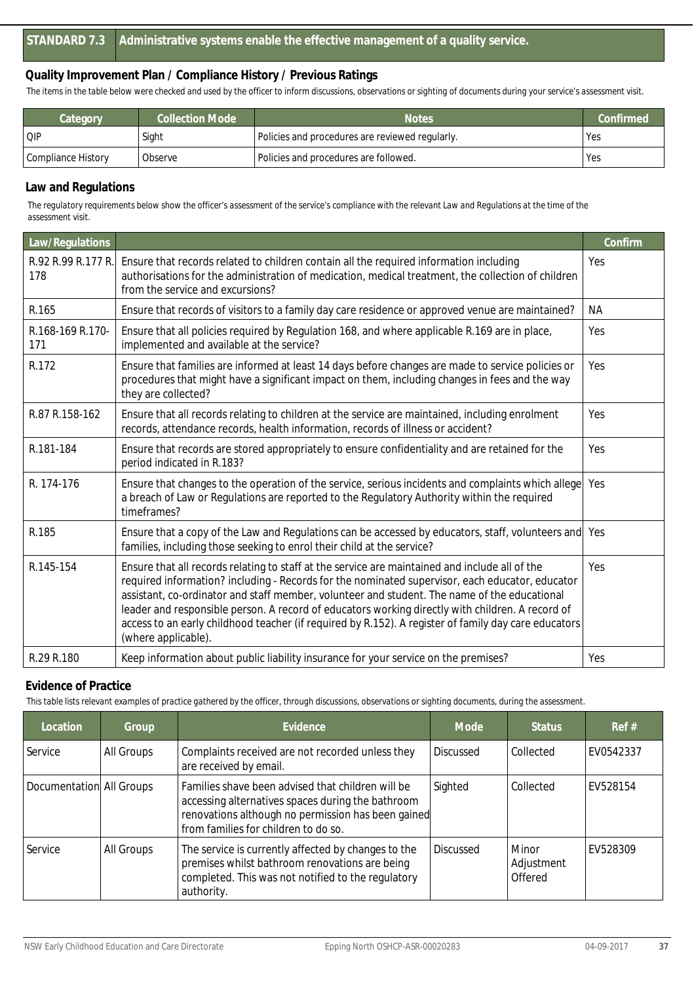*The items in the table below were checked and used by the officer to inform discussions, observations or sighting of documents during your service's assessment visit.*

| Collection Mode<br>Category |         | <b>Notes</b>                                    | Confirmed |
|-----------------------------|---------|-------------------------------------------------|-----------|
| <b>QIP</b>                  | Sight   | Policies and procedures are reviewed regularly. | Yes       |
| Compliance History          | Observe | Policies and procedures are followed.           | 'Yes      |

#### **Law and Regulations**

*The regulatory requirements below show the officer's assessment of the service's compliance with the relevant Law and Regulations at the time of the assessment visit.*

| Law/Regulations           |                                                                                                                                                                                                                                                                                                                                                                                                                                                                                                                                      | Confirm   |
|---------------------------|--------------------------------------------------------------------------------------------------------------------------------------------------------------------------------------------------------------------------------------------------------------------------------------------------------------------------------------------------------------------------------------------------------------------------------------------------------------------------------------------------------------------------------------|-----------|
| R.92 R.99 R.177 R.<br>178 | Ensure that records related to children contain all the required information including<br>authorisations for the administration of medication, medical treatment, the collection of children<br>from the service and excursions?                                                                                                                                                                                                                                                                                                     | Yes       |
| R.165                     | Ensure that records of visitors to a family day care residence or approved venue are maintained?                                                                                                                                                                                                                                                                                                                                                                                                                                     | <b>NA</b> |
| R.168-169 R.170-<br>171   | Ensure that all policies required by Regulation 168, and where applicable R.169 are in place,<br>implemented and available at the service?                                                                                                                                                                                                                                                                                                                                                                                           | Yes       |
| R.172                     | Ensure that families are informed at least 14 days before changes are made to service policies or<br>procedures that might have a significant impact on them, including changes in fees and the way<br>they are collected?                                                                                                                                                                                                                                                                                                           | Yes       |
| R.87 R.158-162            | Ensure that all records relating to children at the service are maintained, including enrolment<br>records, attendance records, health information, records of illness or accident?                                                                                                                                                                                                                                                                                                                                                  | Yes       |
| R.181-184                 | Ensure that records are stored appropriately to ensure confidentiality and are retained for the<br>period indicated in R.183?                                                                                                                                                                                                                                                                                                                                                                                                        | Yes       |
| R. 174-176                | Ensure that changes to the operation of the service, serious incidents and complaints which allege<br>a breach of Law or Regulations are reported to the Regulatory Authority within the required<br>timeframes?                                                                                                                                                                                                                                                                                                                     | Yes       |
| R.185                     | Ensure that a copy of the Law and Regulations can be accessed by educators, staff, volunteers and Yes<br>families, including those seeking to enrol their child at the service?                                                                                                                                                                                                                                                                                                                                                      |           |
| R.145-154                 | Ensure that all records relating to staff at the service are maintained and include all of the<br>required information? including - Records for the nominated supervisor, each educator, educator<br>assistant, co-ordinator and staff member, volunteer and student. The name of the educational<br>leader and responsible person. A record of educators working directly with children. A record of<br>access to an early childhood teacher (if required by R.152). A register of family day care educators<br>(where applicable). | Yes       |
| R.29 R.180                | Keep information about public liability insurance for your service on the premises?                                                                                                                                                                                                                                                                                                                                                                                                                                                  | Yes       |

#### **Evidence of Practice**

| Location                 | Group      | Evidence                                                                                                                                                                                             | Mode             | <b>Status</b>                  | Ref#      |
|--------------------------|------------|------------------------------------------------------------------------------------------------------------------------------------------------------------------------------------------------------|------------------|--------------------------------|-----------|
| Service                  | All Groups | Complaints received are not recorded unless they<br>are received by email.                                                                                                                           | <b>Discussed</b> | Collected                      | EV0542337 |
| Documentation All Groups |            | Families shave been advised that children will be<br>accessing alternatives spaces during the bathroom<br>renovations although no permission has been gained<br>from families for children to do so. | Sighted          | Collected                      | EV528154  |
| Service                  | All Groups | The service is currently affected by changes to the<br>premises whilst bathroom renovations are being<br>completed. This was not notified to the regulatory<br>authority.                            | <b>Discussed</b> | Minor<br>Adjustment<br>Offered | FV528309  |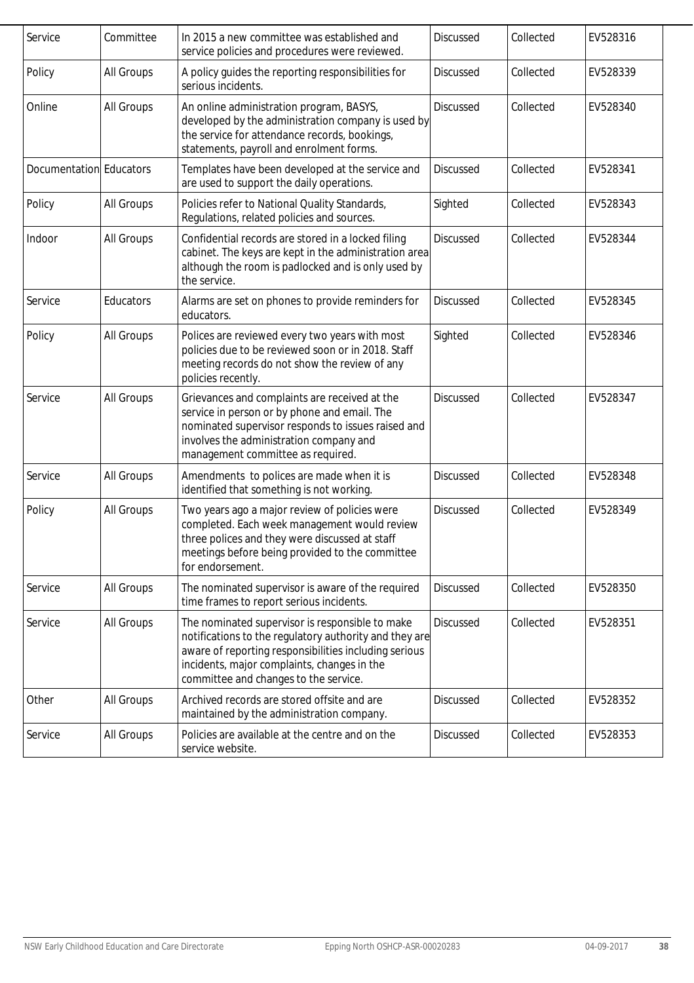| Service                 | Committee  | In 2015 a new committee was established and<br>service policies and procedures were reviewed.                                                                                                                                                              | <b>Discussed</b> | Collected | EV528316 |
|-------------------------|------------|------------------------------------------------------------------------------------------------------------------------------------------------------------------------------------------------------------------------------------------------------------|------------------|-----------|----------|
| Policy                  | All Groups | A policy guides the reporting responsibilities for<br>serious incidents.                                                                                                                                                                                   | <b>Discussed</b> | Collected | EV528339 |
| Online                  | All Groups | An online administration program, BASYS,<br>developed by the administration company is used by<br>the service for attendance records, bookings,<br>statements, payroll and enrolment forms.                                                                | <b>Discussed</b> | Collected | EV528340 |
| Documentation Educators |            | Templates have been developed at the service and<br>are used to support the daily operations.                                                                                                                                                              | Discussed        | Collected | EV528341 |
| Policy                  | All Groups | Policies refer to National Quality Standards,<br>Regulations, related policies and sources.                                                                                                                                                                | Sighted          | Collected | EV528343 |
| Indoor                  | All Groups | Confidential records are stored in a locked filing<br>cabinet. The keys are kept in the administration area<br>although the room is padlocked and is only used by<br>the service.                                                                          | <b>Discussed</b> | Collected | EV528344 |
| Service                 | Educators  | Alarms are set on phones to provide reminders for<br>educators.                                                                                                                                                                                            | <b>Discussed</b> | Collected | EV528345 |
| Policy                  | All Groups | Polices are reviewed every two years with most<br>policies due to be reviewed soon or in 2018. Staff<br>meeting records do not show the review of any<br>policies recently.                                                                                | Sighted          | Collected | EV528346 |
| Service                 | All Groups | Grievances and complaints are received at the<br>service in person or by phone and email. The<br>nominated supervisor responds to issues raised and<br>involves the administration company and<br>management committee as required.                        | <b>Discussed</b> | Collected | EV528347 |
| Service                 | All Groups | Amendments to polices are made when it is<br>identified that something is not working.                                                                                                                                                                     | Discussed        | Collected | EV528348 |
| Policy                  | All Groups | Two years ago a major review of policies were<br>completed. Each week management would review<br>three polices and they were discussed at staff<br>meetings before being provided to the committee<br>for endorsement.                                     | <b>Discussed</b> | Collected | EV528349 |
| Service                 | All Groups | The nominated supervisor is aware of the required<br>time frames to report serious incidents.                                                                                                                                                              | <b>Discussed</b> | Collected | EV528350 |
| Service                 | All Groups | The nominated supervisor is responsible to make<br>notifications to the regulatory authority and they are<br>aware of reporting responsibilities including serious<br>incidents, major complaints, changes in the<br>committee and changes to the service. | <b>Discussed</b> | Collected | EV528351 |
| Other                   | All Groups | Archived records are stored offsite and are<br>maintained by the administration company.                                                                                                                                                                   | Discussed        | Collected | EV528352 |
| Service                 | All Groups | Policies are available at the centre and on the<br>service website.                                                                                                                                                                                        | <b>Discussed</b> | Collected | EV528353 |